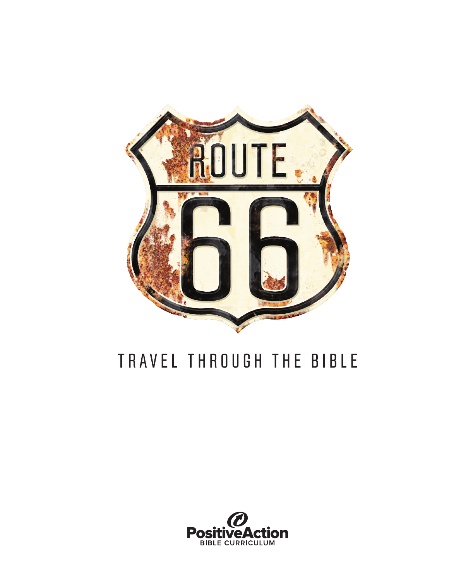

# TRAVEL THROUGH THE BIBLE

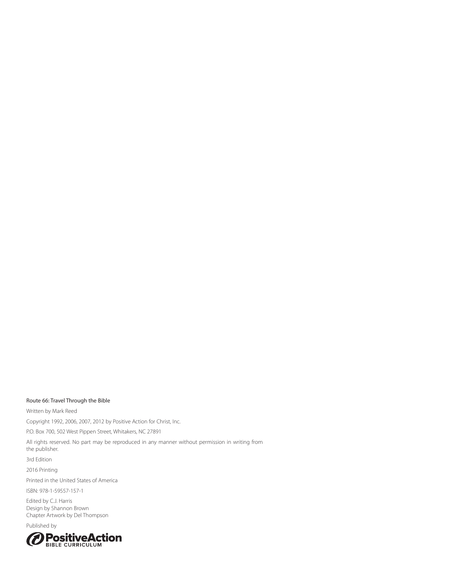#### Route 66: Travel Through the Bible

Written by Mark Reed

Copyright 1992, 2006, 2007, 2012 by Positive Action for Christ, Inc.

P.O. Box 700, 502 West Pippen Street, Whitakers, NC 27891

All rights reserved. No part may be reproduced in any manner without permission in writing from the publisher.

3rd Edition

2016 Printing

Printed in the United States of America

ISBN: 978-1-59557-157-1

Edited by C.J. Harris Design by Shannon Brown Chapter Artwork by Del Thompson

Published by

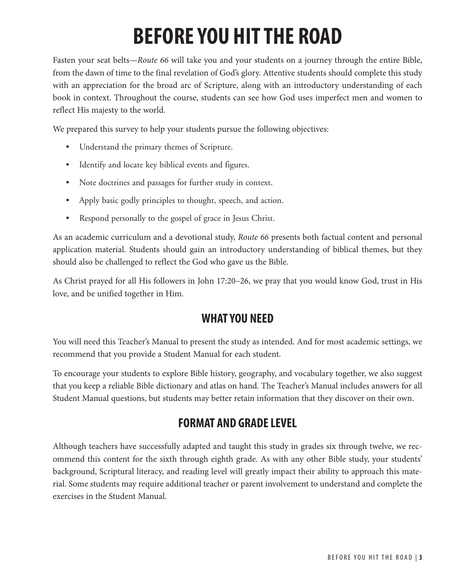# **BEFORE YOU HIT THE ROAD**

Fasten your seat belts—*Route 66* will take you and your students on a journey through the entire Bible, from the dawn of time to the final revelation of God's glory. Attentive students should complete this study with an appreciation for the broad arc of Scripture, along with an introductory understanding of each book in context. Throughout the course, students can see how God uses imperfect men and women to reflect His majesty to the world.

We prepared this survey to help your students pursue the following objectives:

- Understand the primary themes of Scripture.
- Identify and locate key biblical events and figures.
- Note doctrines and passages for further study in context.
- Apply basic godly principles to thought, speech, and action.
- Respond personally to the gospel of grace in Jesus Christ.

As an academic curriculum and a devotional study, *Route 66* presents both factual content and personal application material. Students should gain an introductory understanding of biblical themes, but they should also be challenged to reflect the God who gave us the Bible.

As Christ prayed for all His followers in John 17:20–26, we pray that you would know God, trust in His love, and be unified together in Him.

## **WHAT YOU NEED**

You will need this Teacher's Manual to present the study as intended. And for most academic settings, we recommend that you provide a Student Manual for each student.

To encourage your students to explore Bible history, geography, and vocabulary together, we also suggest that you keep a reliable Bible dictionary and atlas on hand. The Teacher's Manual includes answers for all Student Manual questions, but students may better retain information that they discover on their own.

## **FORMAT AND GRADE LEVEL**

Although teachers have successfully adapted and taught this study in grades six through twelve, we recommend this content for the sixth through eighth grade. As with any other Bible study, your students' background, Scriptural literacy, and reading level will greatly impact their ability to approach this material. Some students may require additional teacher or parent involvement to understand and complete the exercises in the Student Manual.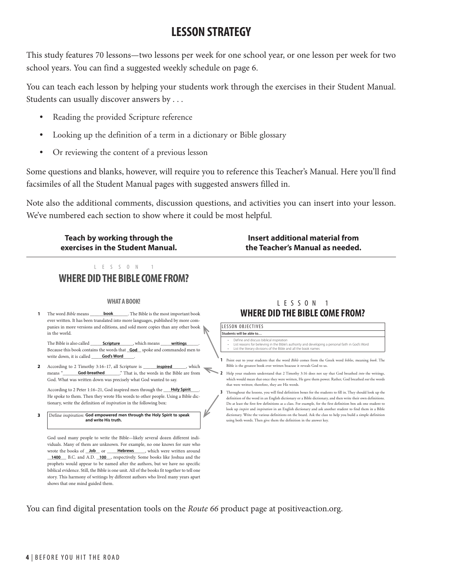## **LESSON STRATEGY**

This study features 70 lessons—two lessons per week for one school year, or one lesson per week for two school years. You can find a suggested weekly schedule on page 6.

You can teach each lesson by helping your students work through the exercises in their Student Manual. Students can usually discover answers by . . .

- Reading the provided Scripture reference
- Looking up the definition of a term in a dictionary or Bible glossary
- Or reviewing the content of a previous lesson

Some questions and blanks, however, will require you to reference this Teacher's Manual. Here you'll find facsimiles of all the Student Manual pages with suggested answers filled in.

Note also the additional comments, discussion questions, and activities you can insert into your lesson. We've numbered each section to show where it could be most helpful.

**Teach by working through the exercises in the Student Manual.**

**Insert additional material from the Teacher's Manual as needed.**

#### $L E S S O N$ **WHERE DID THE BIBLE COME FROM?**

#### **WHAT A BOOK!**

**book** The Bible is the most important book ever written. It has been translated into more languages, published by more companies in more versions and editions, and sold more copies than any other book in the world. **1** The word *Bible* means

The Bible is also called **\_\_\_\_\_\_\_\_\_\_\_\_\_\_\_\_\_\_\_\_**, which means \_\_\_\_\_\_\_ writings \_\_\_\_\_. Because this book contains the words that **God** spoke and commanded men to write down, it is called **\_\_\_\_\_\_\_God's Word**\_\_\_\_\_.

**2** According to 2 Timothy 3:16-17, all Scripture is **inspired**, which  $\overline{\phantom{a}}$ means " **God-breathed** That is, the words in the Bible are from God. What was written down was precisely what God wanted to say.

According to 2 Peter 1:16-21, God inspired men through the **Holy Spirit** \_\_\_\_. He spoke to them. Then they wrote His words to other people. Using a Bible dictionary, write the definition of *inspiration* in the following box:

**3 Define** *inspiration***: God empowered men through the Holy Spirit to speak and write His truth.**

God used many people to write the Bible—likely several dozen different individuals. Many of them are unknown. For example, no one knows for sure who wrote the books of **\_Job** or **\_\_\_\_\_\_Hebrews** \_\_\_\_, which were written around 1400 B.C. and A.D. 100 seepectively. Some books like Joshua and the prophets would appear to be named after the authors, but we have no specific biblical evidence. Still, the Bible is one unit. All of the books fit together to tell one story. This harmony of writings by different authors who lived many years apart shows that one mind guided them.

#### LESSON 1 **WHERE DID THE BIBLE COME FROM?**

LESSON OBJECTIVES **Students will be able to…**

- Define and discuss biblical inspiration<br>List reasons for believing in the Biblio
- List reasons for believing in the Bible's authority and developing a personal faith in God's Word List the literary divisions of the Bible and all the book names
- **1** Point out to your students that the word *Bible* comes from the Greek word *biblos*, meaning *book*. The Bible is the greatest book ever written beacuse it reveals God to us.
- **2** Help your students understand that 2 Timothy 3:16 does not say that God breathed *into* the writings which would mean that once they were written, He gave them power. Rather, God breathed *out* the words that were written; therefore, they are His words.
	- **3** Throughout the lessons, you will find definition boxes for the students to fill in. They should look up the definition of the word in an English dictionary or a Bible dictionary, and then write their own definitions. Do at least the first few definitions as a class. For example, for the first definition box ask one student to look up *inspire* and *inspiration* in an English dictionary and ask another student to find them in a Bible dictionary. Write the various definitions on the board. Ask the class to help you build a simple definition using both words. Then give them the definition in the answer key.

You can find digital presentation tools on the Route 66 product page at positiveaction.org.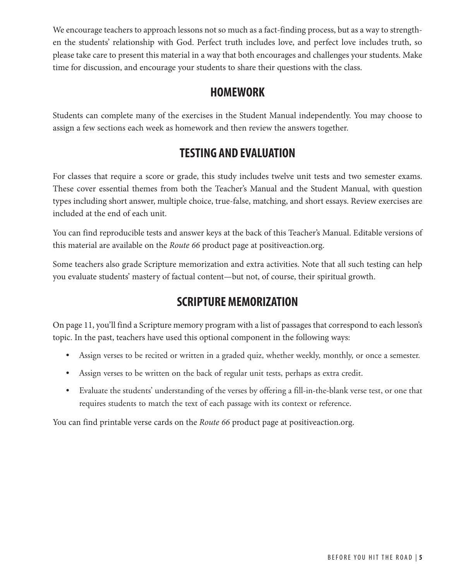We encourage teachers to approach lessons not so much as a fact-finding process, but as a way to strengthen the students' relationship with God. Perfect truth includes love, and perfect love includes truth, so please take care to present this material in a way that both encourages and challenges your students. Make time for discussion, and encourage your students to share their questions with the class.

## **HOMEWORK**

Students can complete many of the exercises in the Student Manual independently. You may choose to assign a few sections each week as homework and then review the answers together.

## **TESTING AND EVALUATION**

For classes that require a score or grade, this study includes twelve unit tests and two semester exams. These cover essential themes from both the Teacher's Manual and the Student Manual, with question types including short answer, multiple choice, true-false, matching, and short essays. Review exercises are included at the end of each unit.

You can find reproducible tests and answer keys at the back of this Teacher's Manual. Editable versions of this material are available on the *Route 66* product page at positiveaction.org.

Some teachers also grade Scripture memorization and extra activities. Note that all such testing can help you evaluate students' mastery of factual content—but not, of course, their spiritual growth.

## **SCRIPTURE MEMORIZATION**

On page 11, you'll find a Scripture memory program with a list of passages that correspond to each lesson's topic. In the past, teachers have used this optional component in the following ways:

- Assign verses to be recited or written in a graded quiz, whether weekly, monthly, or once a semester.
- Assign verses to be written on the back of regular unit tests, perhaps as extra credit.
- Evaluate the students' understanding of the verses by offering a fill-in-the-blank verse test, or one that requires students to match the text of each passage with its context or reference.

You can find printable verse cards on the *Route 66* product page at positiveaction.org.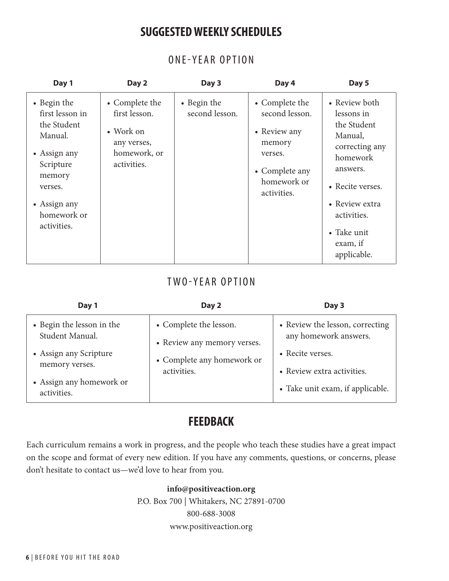## **SUGGESTED WEEKLY SCHEDULES**

| Day 1                                                                                                                                                    | Day 2                                                                                      | Day 3                         | Day 4                                                                                                                 | Day 5                                                                                                                                                                                          |
|----------------------------------------------------------------------------------------------------------------------------------------------------------|--------------------------------------------------------------------------------------------|-------------------------------|-----------------------------------------------------------------------------------------------------------------------|------------------------------------------------------------------------------------------------------------------------------------------------------------------------------------------------|
| • Begin the<br>first lesson in<br>the Student<br>Manual.<br>• Assign any<br>Scripture<br>memory<br>verses.<br>• Assign any<br>homework or<br>activities. | • Complete the<br>first lesson.<br>• Work on<br>any verses,<br>homework, or<br>activities. | • Begin the<br>second lesson. | • Complete the<br>second lesson.<br>• Review any<br>memory<br>verses.<br>• Complete any<br>homework or<br>activities. | • Review both<br>lessons in<br>the Student<br>Manual,<br>correcting any<br>homework<br>answers.<br>• Recite verses.<br>• Review extra<br>activities.<br>• Take unit<br>exam, if<br>applicable. |

### ONE-YEAR OPTION

## TWO-YEAR OPTION

| Day 1                                        | Day 2                                                 | Day 3                                                                        |
|----------------------------------------------|-------------------------------------------------------|------------------------------------------------------------------------------|
| • Begin the lesson in the<br>Student Manual. | • Complete the lesson.<br>• Review any memory verses. | • Review the lesson, correcting<br>any homework answers.<br>• Recite verses. |
| • Assign any Scripture<br>memory verses.     | • Complete any homework or<br>activities.             | • Review extra activities.                                                   |
| • Assign any homework or<br>activities.      |                                                       | • Take unit exam, if applicable.                                             |

## **FEEDBACK**

Each curriculum remains a work in progress, and the people who teach these studies have a great impact on the scope and format of every new edition. If you have any comments, questions, or concerns, please don't hesitate to contact us—we'd love to hear from you.

#### **info@positiveaction.org**

P.O. Box 700 | Whitakers, NC 27891-0700 800-688-3008 www.positiveaction.org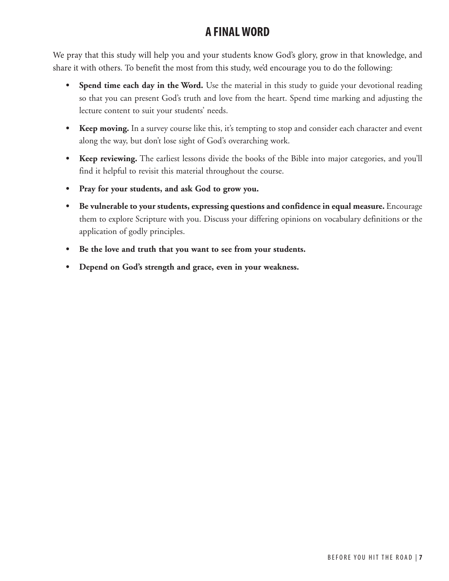## **A FINAL WORD**

We pray that this study will help you and your students know God's glory, grow in that knowledge, and share it with others. To benefit the most from this study, we'd encourage you to do the following:

- **Spend time each day in the Word.** Use the material in this study to guide your devotional reading so that you can present God's truth and love from the heart. Spend time marking and adjusting the lecture content to suit your students' needs.
- **• Keep moving.** In a survey course like this, it's tempting to stop and consider each character and event along the way, but don't lose sight of God's overarching work.
- **• Keep reviewing.** The earliest lessons divide the books of the Bible into major categories, and you'll find it helpful to revisit this material throughout the course.
- **• Pray for your students, and ask God to grow you.**
- **• Be vulnerable to your students, expressing questions and confidence in equal measure.** Encourage them to explore Scripture with you. Discuss your differing opinions on vocabulary definitions or the application of godly principles.
- **• Be the love and truth that you want to see from your students.**
- **• Depend on God's strength and grace, even in your weakness.**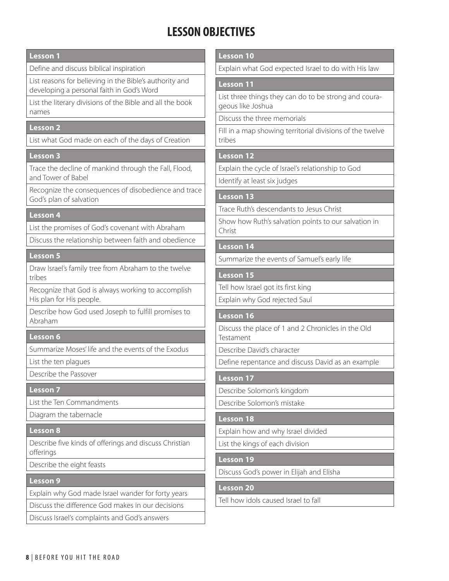## **LESSON OBJECTIVES**

#### **Lesson 1**

Define and discuss biblical inspiration

List reasons for believing in the Bible's authority and developing a personal faith in God's Word

List the literary divisions of the Bible and all the book names

#### **Lesson 2**

List what God made on each of the days of Creation

#### **Lesson 3**

Trace the decline of mankind through the Fall, Flood, and Tower of Babel

Recognize the consequences of disobedience and trace God's plan of salvation

#### **Lesson 4**

List the promises of God's covenant with Abraham

Discuss the relationship between faith and obedience

#### **Lesson 5**

Draw Israel's family tree from Abraham to the twelve tribes

Recognize that God is always working to accomplish His plan for His people.

Describe how God used Joseph to fulfill promises to Abraham

#### **Lesson 6**

Summarize Moses' life and the events of the Exodus

List the ten plagues

Describe the Passover

#### **Lesson 7**

List the Ten Commandments

Diagram the tabernacle

#### **Lesson 8**

Describe five kinds of offerings and discuss Christian offerings

Describe the eight feasts

#### **Lesson 9**

Explain why God made Israel wander for forty years

Discuss the difference God makes in our decisions

Discuss Israel's complaints and God's answers

#### **Lesson 10**

Explain what God expected Israel to do with His law

#### **Lesson 11**

List three things they can do to be strong and courageous like Joshua

Discuss the three memorials

Fill in a map showing territorial divisions of the twelve tribes

#### **Lesson 12**

Explain the cycle of Israel's relationship to God

Identify at least six judges

#### **Lesson 13**

Trace Ruth's descendants to Jesus Christ

Show how Ruth's salvation points to our salvation in Christ

#### **Lesson 14**

Summarize the events of Samuel's early life

#### **Lesson 15**

Tell how Israel got its first king

Explain why God rejected Saul

#### **Lesson 16**

Discuss the place of 1 and 2 Chronicles in the Old Testament

Describe David's character

Define repentance and discuss David as an example

#### **Lesson 17**

Describe Solomon's kingdom

Describe Solomon's mistake

#### **Lesson 18**

Explain how and why Israel divided

List the kings of each division

#### **Lesson 19**

Discuss God's power in Elijah and Elisha

#### **Lesson 20**

Tell how idols caused Israel to fall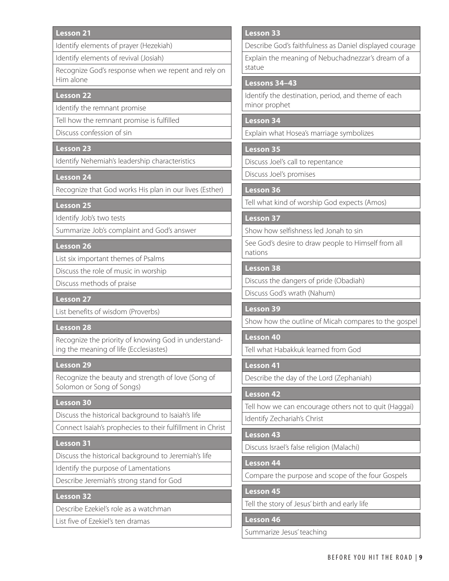#### **Lesson 21**

Identify elements of prayer (Hezekiah)

Identify elements of revival (Josiah)

Recognize God's response when we repent and rely on Him alone

#### **Lesson 22**

Identify the remnant promise

Tell how the remnant promise is fulfilled

Discuss confession of sin

#### **Lesson 23**

Identify Nehemiah's leadership characteristics

#### **Lesson 24**

Recognize that God works His plan in our lives (Esther)

**Lesson 25**

Identify Job's two tests

Summarize Job's complaint and God's answer

#### **Lesson 26**

List six important themes of Psalms

Discuss the role of music in worship

Discuss methods of praise

#### **Lesson 27**

List benefits of wisdom (Proverbs)

#### **Lesson 28**

Recognize the priority of knowing God in understanding the meaning of life (Ecclesiastes)

#### **Lesson 29**

Recognize the beauty and strength of love (Song of Solomon or Song of Songs)

#### **Lesson 30**

Discuss the historical background to Isaiah's life

Connect Isaiah's prophecies to their fulfillment in Christ

#### **Lesson 31**

Discuss the historical background to Jeremiah's life

Identify the purpose of Lamentations

Describe Jeremiah's strong stand for God

#### **Lesson 32**

Describe Ezekiel's role as a watchman

List five of Ezekiel's ten dramas

#### **Lesson 33**

Describe God's faithfulness as Daniel displayed courage

Explain the meaning of Nebuchadnezzar's dream of a statue

#### **Lessons 34–43**

Identify the destination, period, and theme of each minor prophet

#### **Lesson 34**

Explain what Hosea's marriage symbolizes

#### **Lesson 35**

Discuss Joel's call to repentance

Discuss Joel's promises

#### **Lesson 36**

Tell what kind of worship God expects (Amos)

#### **Lesson 37**

Show how selfishness led Jonah to sin

See God's desire to draw people to Himself from all nations

#### **Lesson 38**

Discuss the dangers of pride (Obadiah)

Discuss God's wrath (Nahum)

#### **Lesson 39**

Show how the outline of Micah compares to the gospel

#### **Lesson 40**

Tell what Habakkuk learned from God

#### **Lesson 41**

Describe the day of the Lord (Zephaniah)

#### **Lesson 42**

Tell how we can encourage others not to quit (Haggai) Identify Zechariah's Christ

## **Lesson 43**

Discuss Israel's false religion (Malachi)

#### **Lesson 44**

Compare the purpose and scope of the four Gospels

#### **Lesson 45**

Tell the story of Jesus' birth and early life

#### **Lesson 46**

Summarize Jesus' teaching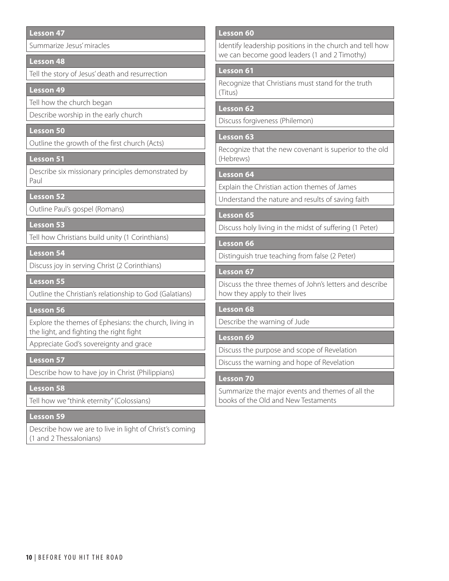#### **Lesson 47**

Summarize Jesus' miracles

#### **Lesson 48**

Tell the story of Jesus' death and resurrection

#### **Lesson 49**

Tell how the church began

Describe worship in the early church

#### **Lesson 50**

Outline the growth of the first church (Acts)

#### **Lesson 51**

Describe six missionary principles demonstrated by Paul

#### **Lesson 52**

Outline Paul's gospel (Romans)

#### **Lesson 53**

Tell how Christians build unity (1 Corinthians)

**Lesson 54**

Discuss joy in serving Christ (2 Corinthians)

**Lesson 55**

Outline the Christian's relationship to God (Galatians)

#### **Lesson 56**

Explore the themes of Ephesians: the church, living in the light, and fighting the right fight

Appreciate God's sovereignty and grace

#### **Lesson 57**

Describe how to have joy in Christ (Philippians)

#### **Lesson 58**

Tell how we "think eternity" (Colossians)

#### **Lesson 59**

Describe how we are to live in light of Christ's coming (1 and 2 Thessalonians)

#### **Lesson 60**

Identify leadership positions in the church and tell how we can become good leaders (1 and 2 Timothy)

#### **Lesson 61**

Recognize that Christians must stand for the truth (Titus)

#### **Lesson 62**

Discuss forgiveness (Philemon)

#### **Lesson 63**

Recognize that the new covenant is superior to the old (Hebrews)

#### **Lesson 64**

Explain the Christian action themes of James

Understand the nature and results of saving faith

#### **Lesson 65**

Discuss holy living in the midst of suffering (1 Peter)

#### **Lesson 66**

Distinguish true teaching from false (2 Peter)

#### **Lesson 67**

Discuss the three themes of John's letters and describe how they apply to their lives

#### **Lesson 68**

Describe the warning of Jude

#### **Lesson 69**

Discuss the purpose and scope of Revelation

Discuss the warning and hope of Revelation

#### **Lesson 70**

Summarize the major events and themes of all the books of the Old and New Testaments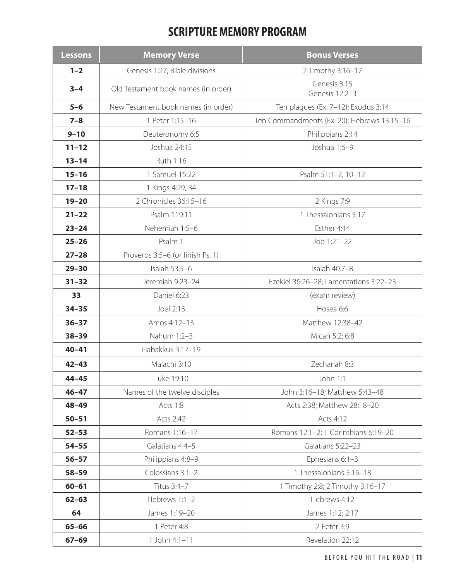## **SCRIPTURE MEMORY PROGRAM**

| <b>Lessons</b> | <b>Memory Verse</b>                 | <b>Bonus Verses</b>                         |
|----------------|-------------------------------------|---------------------------------------------|
| $1 - 2$        | Genesis 1:27; Bible divisions       | 2 Timothy 3:16-17                           |
| $3 - 4$        | Old Testament book names (in order) | Genesis 3:15<br>Genesis 12:2-3              |
| $5-6$          | New Testament book names (in order) | Ten plagues (Ex. 7-12); Exodus 3:14         |
| $7 - 8$        | 1 Peter 1:15-16                     | Ten Commandments (Ex. 20); Hebrews 13:15-16 |
| $9 - 10$       | Deuteronomy 6:5                     | Philippians 2:14                            |
| $11 - 12$      | Joshua 24:15                        | Joshua 1:6-9                                |
| $13 - 14$      | Ruth 1:16                           |                                             |
| $15 - 16$      | 1 Samuel 15:22                      | Psalm 51:1-2, 10-12                         |
| $17 - 18$      | 1 Kings 4:29, 34                    |                                             |
| $19 - 20$      | 2 Chronicles 36:15-16               | 2 Kings 7:9                                 |
| $21 - 22$      | Psalm 119:11                        | 1 Thessalonians 5:17                        |
| $23 - 24$      | Nehemiah 1:5-6                      | Esther 4:14                                 |
| $25 - 26$      | Psalm 1                             | Job 1:21-22                                 |
| $27 - 28$      | Proverbs 3:5-6 (or finish Ps. 1)    |                                             |
| $29 - 30$      | Isaiah 53:5-6                       | Isaiah 40:7-8                               |
| $31 - 32$      | Jeremiah 9:23-24                    | Ezekiel 36:26-28; Lamentations 3:22-23      |
| 33             | Daniel 6:23                         | (exam review)                               |
| $34 - 35$      | Joel 2:13                           | Hosea 6:6                                   |
| $36 - 37$      | Amos 4:12-13                        | Matthew 12:38-42                            |
| $38 - 39$      | Nahum 1:2-3                         | Micah 5:2; 6:8                              |
| $40 - 41$      | Habakkuk 3:17-19                    |                                             |
| $42 - 43$      | Malachi 3:10                        | Zechariah 8:3                               |
| $44 - 45$      | Luke 19:10                          | John 1:1                                    |
| $46 - 47$      | Names of the twelve disciples       | John 3:16-18; Matthew 5:43-48               |
| 48-49          | Acts 1:8                            | Acts 2:38; Matthew 28:18-20                 |
| $50 - 51$      | Acts 2:42                           | Acts 4:12                                   |
| $52 - 53$      | Romans 1:16-17                      | Romans 12:1-2; 1 Corinthians 6:19-20        |
| $54 - 55$      | Galatians 4:4-5                     | Galatians 5:22-23                           |
| $56 - 57$      | Philippians 4:8-9                   | Ephesians 6:1-3                             |
| 58-59          | Colossians 3:1-2                    | 1 Thessalonians 5:16-18                     |
| $60 - 61$      | Titus 3:4-7                         | 1 Timothy 2:8; 2 Timothy 3:16-17            |
| $62 - 63$      | Hebrews 1:1-2                       | Hebrews 4:12                                |
| 64             | James 1:19-20                       | James 1:12; 2:17                            |
| $65 - 66$      | 1 Peter 4:8                         | 2 Peter 3:9                                 |
| $67 - 69$      | 1 John 4:1-11                       | Revelation 22:12                            |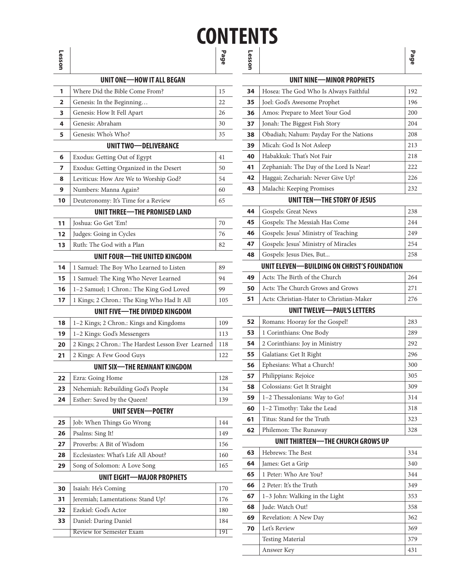## **CONTENTS Page Lesson**

| ∍  |                                                    |     |
|----|----------------------------------------------------|-----|
|    | UNIT ONE-HOW IT ALL BEGAN                          |     |
| 1  | Where Did the Bible Come From?                     | 15  |
| 2  | Genesis: In the Beginning                          | 22  |
| 3  | Genesis: How It Fell Apart                         | 26  |
| 4  | Genesis: Abraham                                   | 30  |
| 5  | Genesis: Who's Who?                                | 35  |
|    | UNIT TWO-DELIVERANCE                               |     |
| 6  | Exodus: Getting Out of Egypt                       | 41  |
| 7  | Exodus: Getting Organized in the Desert            | 50  |
| 8  | Leviticus: How Are We to Worship God?              | 54  |
| 9  | Numbers: Manna Again?                              | 60  |
| 10 | Deuteronomy: It's Time for a Review                | 65  |
|    | <b>UNIT THREE-THE PROMISED LAND</b>                |     |
| 11 | Joshua: Go Get 'Em!                                | 70  |
| 12 | Judges: Going in Cycles                            | 76  |
| 13 | Ruth: The God with a Plan                          | 82  |
|    | UNIT FOUR-THE UNITED KINGDOM                       |     |
| 14 | 1 Samuel: The Boy Who Learned to Listen            | 89  |
| 15 | 1 Samuel: The King Who Never Learned               | 94  |
| 16 | 1-2 Samuel; 1 Chron.: The King God Loved           | 99  |
| 17 | 1 Kings; 2 Chron.: The King Who Had It All         | 105 |
|    | UNIT FIVE-THE DIVIDED KINGDOM                      |     |
| 18 | 1–2 Kings; 2 Chron.: Kings and Kingdoms            | 109 |
| 19 | 1-2 Kings: God's Messengers                        | 113 |
| 20 | 2 Kings; 2 Chron.: The Hardest Lesson Ever Learned | 118 |
| 21 | 2 Kings: A Few Good Guys                           | 122 |
|    | UNIT SIX-THE REMNANT KINGDOM                       |     |
| 22 | Ezra: Going Home                                   | 128 |
| 23 | Nehemiah: Rebuilding God's People                  | 134 |
| 24 | Esther: Saved by the Queen!                        | 139 |
|    | <b>UNIT SEVEN-POETRY</b>                           |     |
| 25 | Job: When Things Go Wrong                          | 144 |
| 26 | Psalms: Sing It!                                   | 149 |
| 27 | Proverbs: A Bit of Wisdom                          | 156 |
| 28 | Ecclesiastes: What's Life All About?               | 160 |
| 29 | Song of Solomon: A Love Song                       | 165 |
|    | UNIT EIGHT-MAJOR PROPHETS                          |     |
| 30 | Isaiah: He's Coming                                | 170 |
| 31 | Jeremiah; Lamentations: Stand Up!                  | 176 |
| 32 | Ezekiel: God's Actor                               | 180 |
| 33 | Daniel: Daring Daniel                              | 184 |
|    | Review for Semester Exam                           | 191 |
|    |                                                    |     |

|    | UNIT NINE-MINOR PROPHETS                    |     |
|----|---------------------------------------------|-----|
| 34 | Hosea: The God Who Is Always Faithful       | 192 |
| 35 | Joel: God's Awesome Prophet                 | 196 |
| 36 | Amos: Prepare to Meet Your God              | 200 |
| 37 | Jonah: The Biggest Fish Story               | 204 |
| 38 | Obadiah; Nahum: Payday For the Nations      | 208 |
| 39 | Micah: God Is Not Asleep                    | 213 |
| 40 | Habakkuk: That's Not Fair                   | 218 |
| 41 | Zephaniah: The Day of the Lord Is Near!     | 222 |
| 42 | Haggai; Zechariah: Never Give Up!           | 226 |
| 43 | Malachi: Keeping Promises                   | 232 |
|    | UNIT TEN-THE STORY OF JESUS                 |     |
| 44 | Gospels: Great News                         | 238 |
| 45 | Gospels: The Messiah Has Come               | 244 |
| 46 | Gospels: Jesus' Ministry of Teaching        | 249 |
| 47 | Gospels: Jesus' Ministry of Miracles        | 254 |
| 48 | Gospels: Jesus Dies, But                    | 258 |
|    | UNIT ELEVEN—BUILDING ON CHRIST'S FOUNDATION |     |
| 49 | Acts: The Birth of the Church               | 264 |
| 50 | Acts: The Church Grows and Grows            | 271 |
| 51 | Acts: Christian-Hater to Christian-Maker    | 276 |
|    | <b>UNIT TWELVE-PAUL'S LETTERS</b>           |     |
| 52 | Romans: Hooray for the Gospel!              | 283 |
| 53 | 1 Corinthians: One Body                     | 289 |
| 54 | 2 Corinthians: Joy in Ministry              | 292 |
| 55 | Galatians: Get It Right                     | 296 |
| 56 | Ephesians: What a Church!                   | 300 |
| 57 | Philippians: Rejoice                        | 305 |
| 58 | Colossians: Get It Straight                 | 309 |
| 59 | 1-2 Thessalonians: Way to Go!               | 314 |
| 60 | 1-2 Timothy: Take the Lead                  | 318 |
| 61 | Titus: Stand for the Truth                  | 323 |
| 62 | Philemon: The Runaway                       | 328 |
|    | UNIT THIRTEEN-THE CHURCH GROWS UP           |     |
| 63 | Hebrews: The Best                           | 334 |
| 64 | James: Get a Grip                           | 340 |
| 65 | 1 Peter: Who Are You?                       | 344 |
| 66 | 2 Peter: It's the Truth                     | 349 |
| 67 | 1-3 John: Walking in the Light              | 353 |
| 68 | Jude: Watch Out!                            | 358 |
| 69 | Revelation: A New Day                       | 362 |
| 70 | Let's Review                                | 369 |
|    | <b>Testing Material</b>                     | 379 |
|    | Answer Key                                  | 431 |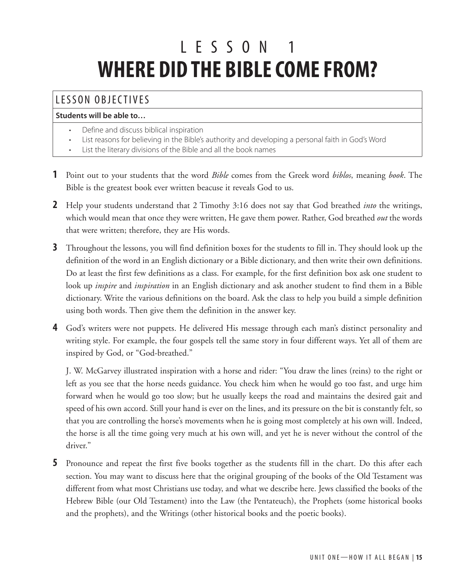# L ESSON 1 **WHERE DID THE BIBLE COME FROM?**

## LESSON OBJECTIVES

#### **Students will be able to…**

- Define and discuss biblical inspiration
- List reasons for believing in the Bible's authority and developing a personal faith in God's Word
- List the literary divisions of the Bible and all the book names
- **1** Point out to your students that the word *Bible* comes from the Greek word *biblos*, meaning *book*. The Bible is the greatest book ever written beacuse it reveals God to us.
- **2** Help your students understand that 2 Timothy 3:16 does not say that God breathed *into* the writings, which would mean that once they were written, He gave them power. Rather, God breathed *out* the words that were written; therefore, they are His words.
- **3** Throughout the lessons, you will find definition boxes for the students to fill in. They should look up the definition of the word in an English dictionary or a Bible dictionary, and then write their own definitions. Do at least the first few definitions as a class. For example, for the first definition box ask one student to look up *inspire* and *inspiration* in an English dictionary and ask another student to find them in a Bible dictionary. Write the various definitions on the board. Ask the class to help you build a simple definition using both words. Then give them the definition in the answer key.
- **4** God's writers were not puppets. He delivered His message through each man's distinct personality and writing style. For example, the four gospels tell the same story in four different ways. Yet all of them are inspired by God, or "God-breathed."

J. W. McGarvey illustrated inspiration with a horse and rider: "You draw the lines (reins) to the right or left as you see that the horse needs guidance. You check him when he would go too fast, and urge him forward when he would go too slow; but he usually keeps the road and maintains the desired gait and speed of his own accord. Still your hand is ever on the lines, and its pressure on the bit is constantly felt, so that you are controlling the horse's movements when he is going most completely at his own will. Indeed, the horse is all the time going very much at his own will, and yet he is never without the control of the driver."

**5** Pronounce and repeat the first five books together as the students fill in the chart. Do this after each section. You may want to discuss here that the original grouping of the books of the Old Testament was different from what most Christians use today, and what we describe here. Jews classified the books of the Hebrew Bible (our Old Testament) into the Law (the Pentateuch), the Prophets (some historical books and the prophets), and the Writings (other historical books and the poetic books).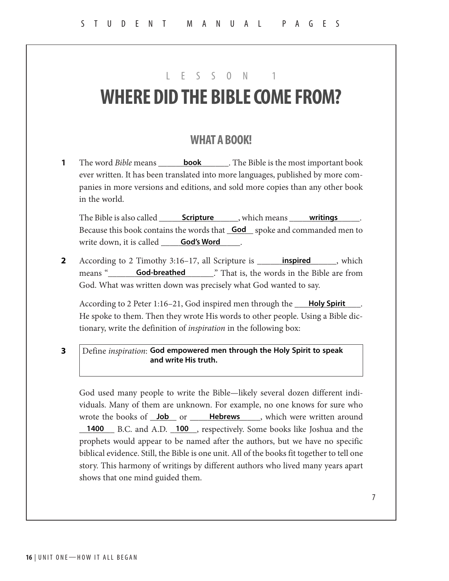## LESSON 1

## **WHERE DID THE BIBLE COME FROM?**

#### **WHAT A BOOK!**

**1** The word *Bible* means \_\_\_\_\_\_**book** \_\_\_\_\_. The Bible is the most important book ever written. It has been translated into more languages, published by more companies in more versions and editions, and sold more copies than any other book in the world.

The Bible is also called \_\_\_\_\_\_\_\_\_\_\_\_\_\_\_\_\_\_\_\_\_\_\_\_\_, which means \_\_\_\_\_\_\_\_\_\_\_\_\_\_\_\_\_. Because this book contains the words that **God** spoke and commanded men to write down, it is called \_\_\_\_\_\_\_\_\_\_\_\_\_\_\_\_\_\_. **God's Word**

**2** According to 2 Timothy 3:16-17, all Scripture is **implied**, which means "**God-breathed** That is, the words in the Bible are from God. What was written down was precisely what God wanted to say.

According to 2 Peter 1:16-21, God inspired men through the **Holy Spirit** 1. He spoke to them. Then they wrote His words to other people. Using a Bible dictionary, write the definition of *inspiration* in the following box:

Define *inspiration*: **3 God empowered men through the Holy Spirit to speak and write His truth.**

God used many people to write the Bible—likely several dozen different individuals. Many of them are unknown. For example, no one knows for sure who wrote the books of <u>Job</u> or **Hebrews** , which were written around 1400 B.C. and A.D. 100, respectively. Some books like Joshua and the prophets would appear to be named after the authors, but we have no specific biblical evidence. Still, the Bible is one unit. All of the books fit together to tell one story. This harmony of writings by different authors who lived many years apart shows that one mind guided them.

7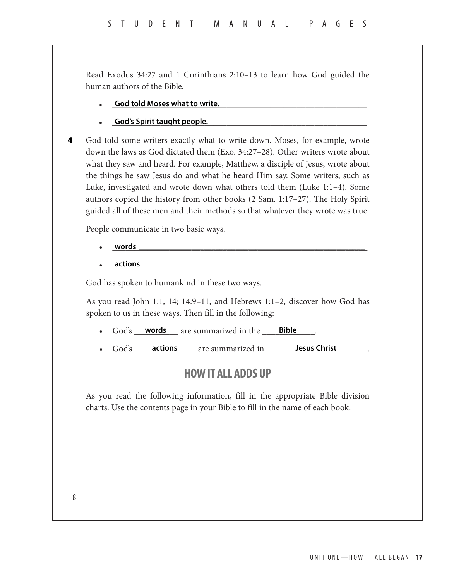Read Exodus 34:27 and 1 Corinthians 2:10–13 to learn how God guided the human authors of the Bible.

- \_\_\_\_\_\_\_\_\_\_\_\_\_\_\_\_\_\_\_\_\_\_\_\_\_\_\_\_\_\_\_\_\_\_\_\_\_\_\_\_\_\_\_\_\_\_\_\_\_\_\_\_\_\_\_\_\_\_ **God told Moses what to write.**
- **God's Spirit taught people. Community of Spirit taught people. Community of Spirit taught people.**

God told some writers exactly what to write down. Moses, for example, wrote down the laws as God dictated them (Exo. 34:27–28). Other writers wrote about what they saw and heard. For example, Matthew, a disciple of Jesus, wrote about the things he saw Jesus do and what he heard Him say. Some writers, such as Luke, investigated and wrote down what others told them (Luke 1:1–4). Some authors copied the history from other books (2 Sam. 1:17–27). The Holy Spirit guided all of these men and their methods so that whatever they wrote was true. **4**

People communicate in two basic ways.

- \_\_\_\_\_\_\_\_\_\_\_\_\_\_\_\_\_\_\_\_\_\_\_\_\_\_\_\_\_\_\_\_\_\_\_\_\_\_\_\_\_\_\_\_\_\_\_\_\_\_\_\_\_\_\_\_\_\_ **words \_\_\_\_\_\_\_\_\_\_\_\_\_\_\_\_\_\_\_\_\_\_\_\_\_\_\_\_\_\_\_\_\_\_\_\_\_\_\_\_\_\_\_\_\_\_\_\_\_\_\_\_\_\_\_\_**
- $\bullet$   $\quad \text{actions}$ **actions**

God has spoken to humankind in these two ways.

As you read John 1:1, 14; 14:9–11, and Hebrews 1:1–2, discover how God has spoken to us in these ways. Then fill in the following:

- God's <u>words</u> are summarized in the **Bible** bill
- God's <u>actions</u> are summarized in Sesus Christ Electronic Legal are summarized in Sesus Christ

### **HOW IT ALL ADDS UP**

As you read the following information, fill in the appropriate Bible division charts. Use the contents page in your Bible to fill in the name of each book.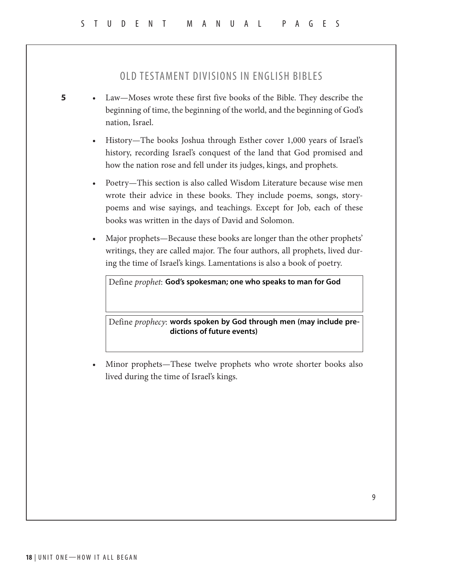#### OLD TESTAMENT DIVISIONS IN ENGLISH BIBLES

- Law—Moses wrote these first five books of the Bible. They describe the beginning of time, the beginning of the world, and the beginning of God's nation, Israel.
	- History—The books Joshua through Esther cover 1,000 years of Israel's history, recording Israel's conquest of the land that God promised and how the nation rose and fell under its judges, kings, and prophets.
	- Poetry—This section is also called Wisdom Literature because wise men wrote their advice in these books. They include poems, songs, storypoems and wise sayings, and teachings. Except for Job, each of these books was written in the days of David and Solomon.
	- Major prophets—Because these books are longer than the other prophets' writings, they are called major. The four authors, all prophets, lived during the time of Israel's kings. Lamentations is also a book of poetry.

Define *prophet*: **God's spokesman; one who speaks to man for God**

Define *prophecy*: **words spoken by God through men (may include predictions of future events)**

Minor prophets—These twelve prophets who wrote shorter books also lived during the time of Israel's kings.

**5**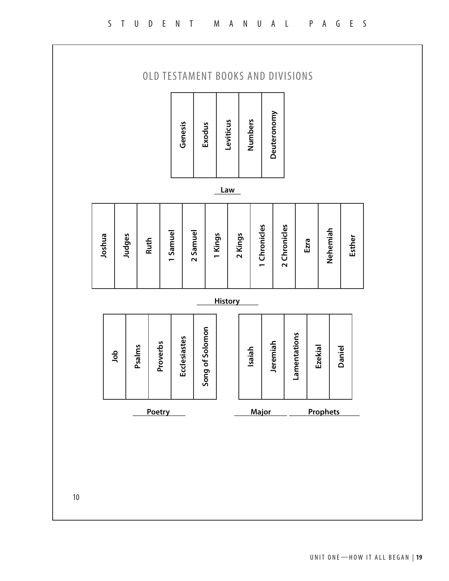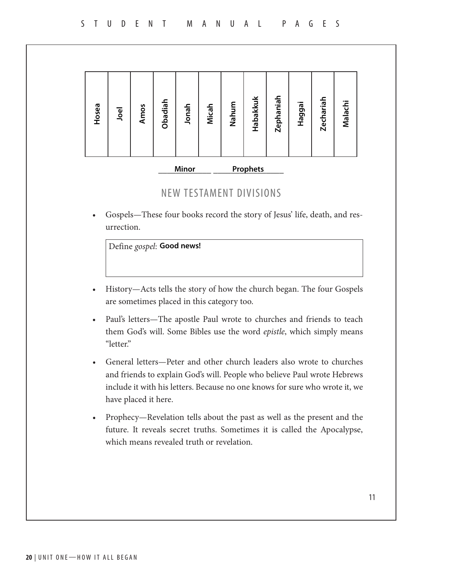| Obadiah<br>Hosea<br>Jonah<br>Micah<br>Amos<br>Joel | Habakkuk<br>Nahum | Zephaniah<br>Haggai | <b>Zechariah</b><br>Malachi |
|----------------------------------------------------|-------------------|---------------------|-----------------------------|
|----------------------------------------------------|-------------------|---------------------|-----------------------------|

## \_\_\_\_\_\_\_\_\_\_\_\_ \_\_\_\_\_\_\_\_\_\_\_\_\_\_\_\_ **Minor Prophets**

### NEW TESTAMENT DIVISIONS

• Gospels—These four books record the story of Jesus' life, death, and resurrection.

|                   | Define gospel: Good news!                                                                                                           |  |  |  |              |            |  |
|-------------------|-------------------------------------------------------------------------------------------------------------------------------------|--|--|--|--------------|------------|--|
|                   |                                                                                                                                     |  |  |  |              |            |  |
|                   |                                                                                                                                     |  |  |  |              |            |  |
| $T$ $T$ $\bullet$ | $\mathbf{r}$ and $\mathbf{r}$ and $\mathbf{r}$ and $\mathbf{r}$ and $\mathbf{r}$ and $\mathbf{r}$ and $\mathbf{r}$ and $\mathbf{r}$ |  |  |  | $\mathbf{r}$ | $\sqrt{2}$ |  |

- History—Acts tells the story of how the church began. The four Gospels are sometimes placed in this category too.
- Paul's letters—The apostle Paul wrote to churches and friends to teach them God's will. Some Bibles use the word *epistle*, which simply means "letter."
- General letters—Peter and other church leaders also wrote to churches and friends to explain God's will. People who believe Paul wrote Hebrews include it with his letters. Because no one knows for sure who wrote it, we have placed it here.
- Prophecy—Revelation tells about the past as well as the present and the future. It reveals secret truths. Sometimes it is called the Apocalypse, which means revealed truth or revelation.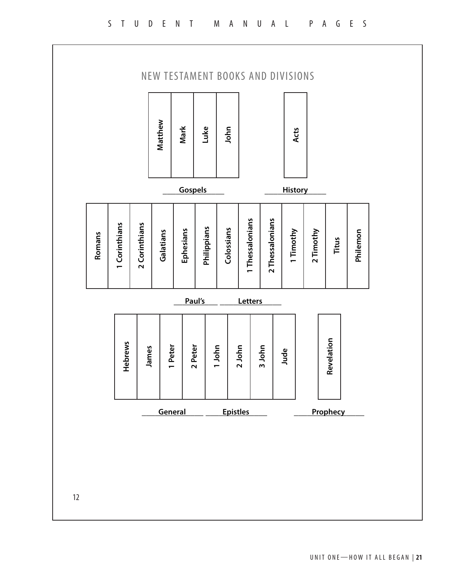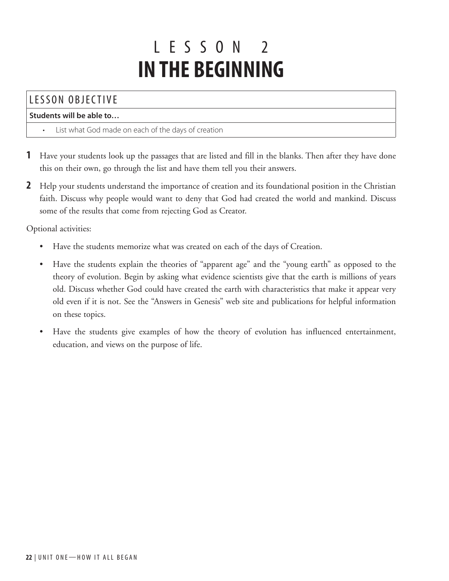## L ESSON 2 **IN THE BEGINNING**

## LESSON OBJECTIVE

#### **Students will be able to…**

- List what God made on each of the days of creation
- **1** Have your students look up the passages that are listed and fill in the blanks. Then after they have done this on their own, go through the list and have them tell you their answers.
- **2** Help your students understand the importance of creation and its foundational position in the Christian faith. Discuss why people would want to deny that God had created the world and mankind. Discuss some of the results that come from rejecting God as Creator.

Optional activities:

- Have the students memorize what was created on each of the days of Creation.
- Have the students explain the theories of "apparent age" and the "young earth" as opposed to the theory of evolution. Begin by asking what evidence scientists give that the earth is millions of years old. Discuss whether God could have created the earth with characteristics that make it appear very old even if it is not. See the "Answers in Genesis" web site and publications for helpful information on these topics.
- Have the students give examples of how the theory of evolution has influenced entertainment, education, and views on the purpose of life.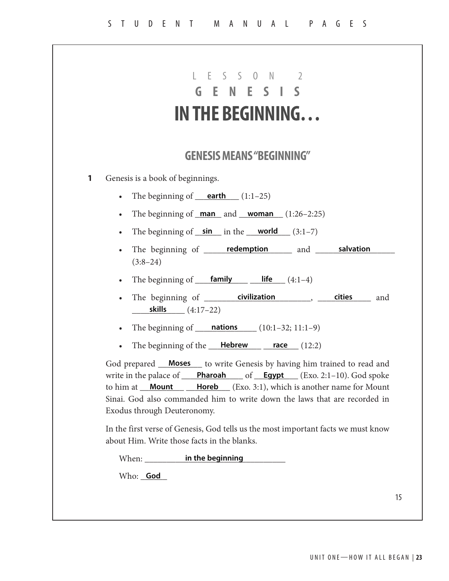|           | IN THE BEGINNING                                                                                                                                                                                                                                                                                                                                                                                                |
|-----------|-----------------------------------------------------------------------------------------------------------------------------------------------------------------------------------------------------------------------------------------------------------------------------------------------------------------------------------------------------------------------------------------------------------------|
|           | <b>GENESIS MEANS "BEGINNING"</b>                                                                                                                                                                                                                                                                                                                                                                                |
|           | Genesis is a book of beginnings.                                                                                                                                                                                                                                                                                                                                                                                |
|           | • The beginning of $earth (1:1-25)$                                                                                                                                                                                                                                                                                                                                                                             |
| $\bullet$ | The beginning of $man$ and $woman$ $(1:26-2:25)$                                                                                                                                                                                                                                                                                                                                                                |
| $\bullet$ | The beginning of $\sin$ in the world $(3:1-7)$                                                                                                                                                                                                                                                                                                                                                                  |
| $\bullet$ | The beginning of ______ redemption ______ and ______ salvation<br>$(3:8-24)$                                                                                                                                                                                                                                                                                                                                    |
| $\bullet$ | The beginning of $\frac{\text{family}}{\text{family}}$ $\frac{\text{life}}{\text{line}}$ (4:1-4)                                                                                                                                                                                                                                                                                                                |
| $\bullet$ | <b>skills</b> $(4:17-22)$                                                                                                                                                                                                                                                                                                                                                                                       |
| $\bullet$ | The beginning of $\frac{\text{nations}}{\text{nations}}$ (10:1-32; 11:1-9)                                                                                                                                                                                                                                                                                                                                      |
| $\bullet$ | The beginning of the $\_\$ Hebrew $\_\$ race $(12:2)$                                                                                                                                                                                                                                                                                                                                                           |
|           | God prepared __ <b>Moses</b> __ to write Genesis by having him trained to read and<br>write in the palace of $\_\_\_\_\_\_\_\_$ Pharoah $\_\_\_\_\_\_$ of $\_\_\_\_\_\_\_\_\_\_\_\_$ (Exo. 2:1-10). God spoke<br><b>Horeb</b> (Exo. 3:1), which is another name for Mount<br>to him at <b>Mount</b><br>Sinai. God also commanded him to write down the laws that are recorded in<br>Exodus through Deuteronomy. |
|           | In the first verse of Genesis, God tells us the most important facts we must know<br>about Him. Write those facts in the blanks.                                                                                                                                                                                                                                                                                |
|           | When: ____________ in the beginning                                                                                                                                                                                                                                                                                                                                                                             |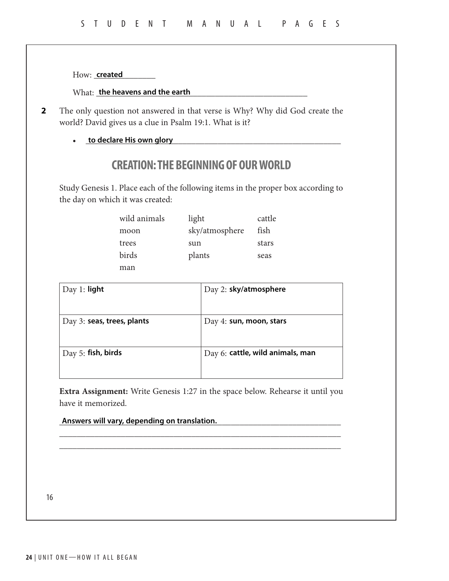How: \_\_\_\_\_\_\_\_\_\_\_\_\_\_ **created**

What: **the heavens and the earth the second sequence of the sequence of the sequence of the sequence of the sequence of the sequence of the sequence of the sequence of the sequence of the sequence of the sequence of the** 

- The only question not answered in that verse is Why? Why did God create the world? David gives us a clue in Psalm 19:1. What is it? **2**
	- <u>to declare His own glory</u> **with an article of the declare His own glory**

## **CREATION: THE BEGINNING OF OUR WORLD**

Study Genesis 1. Place each of the following items in the proper box according to the day on which it was created:

| wild animals | light          | cattle |
|--------------|----------------|--------|
| moon         | sky/atmosphere | fish   |
| trees        | sun            | stars  |
| birds        | plants         | seas   |
| man          |                |        |

| Day 2: sky/atmosphere            |
|----------------------------------|
|                                  |
| Day 4: sun, moon, stars          |
|                                  |
| Day 6: cattle, wild animals, man |
|                                  |
|                                  |

**Extra Assignment:** Write Genesis 1:27 in the space below. Rehearse it until you have it memorized.

\_\_\_\_\_\_\_\_\_\_\_\_\_\_\_\_\_\_\_\_\_\_\_\_\_\_\_\_\_\_\_\_\_\_\_\_\_\_\_\_\_\_\_\_\_\_\_\_\_\_\_\_\_\_\_\_\_\_\_\_\_\_\_\_ \_\_\_\_\_\_\_\_\_\_\_\_\_\_\_\_\_\_\_\_\_\_\_\_\_\_\_\_\_\_\_\_\_\_\_\_\_\_\_\_\_\_\_\_\_\_\_\_\_\_\_\_\_\_\_\_\_\_\_\_\_\_\_\_

\_\_\_\_\_\_\_\_\_\_\_\_\_\_\_\_\_\_\_\_\_\_\_\_\_\_\_\_\_\_\_\_\_\_\_\_\_\_\_\_\_\_\_\_\_\_\_\_\_\_\_\_\_\_\_\_\_\_\_\_\_\_\_\_ **Answers will vary, depending on translation.**

16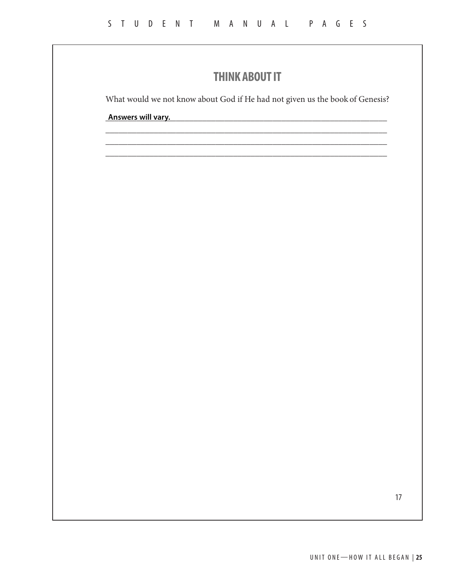## **THINK ABOUT IT**

What would we not know about God if He had not given us the book of Genesis?

\_\_\_\_\_\_\_\_\_\_\_\_\_\_\_\_\_\_\_\_\_\_\_\_\_\_\_\_\_\_\_\_\_\_\_\_\_\_\_\_\_\_\_\_\_\_\_\_\_\_\_\_\_\_\_\_\_\_\_\_\_\_\_\_ \_\_\_\_\_\_\_\_\_\_\_\_\_\_\_\_\_\_\_\_\_\_\_\_\_\_\_\_\_\_\_\_\_\_\_\_\_\_\_\_\_\_\_\_\_\_\_\_\_\_\_\_\_\_\_\_\_\_\_\_\_\_\_\_ \_\_\_\_\_\_\_\_\_\_\_\_\_\_\_\_\_\_\_\_\_\_\_\_\_\_\_\_\_\_\_\_\_\_\_\_\_\_\_\_\_\_\_\_\_\_\_\_\_\_\_\_\_\_\_\_\_\_\_\_\_\_\_\_

\_\_\_\_\_\_\_\_\_\_\_\_\_\_\_\_\_\_\_\_\_\_\_\_\_\_\_\_\_\_\_\_\_\_\_\_\_\_\_\_\_\_\_\_\_\_\_\_\_\_\_\_\_\_\_\_\_\_\_\_\_\_\_\_ **Answers will vary.**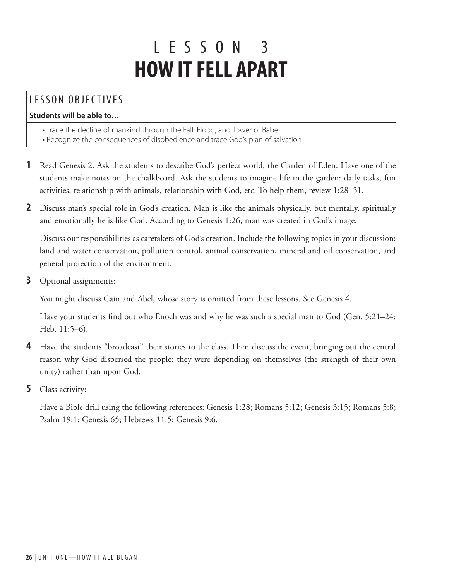## L ESSON 3 **HOW IT FELL APART**

## LESSON OBJECTIVES

#### **Students will be able to…**

- Trace the decline of mankind through the Fall, Flood, and Tower of Babel
- Recognize the consequences of disobedience and trace God's plan of salvation
- **1** Read Genesis 2. Ask the students to describe God's perfect world, the Garden of Eden. Have one of the students make notes on the chalkboard. Ask the students to imagine life in the garden: daily tasks, fun activities, relationship with animals, relationship with God, etc. To help them, review 1:28–31.
- **2** Discuss man's special role in God's creation. Man is like the animals physically, but mentally, spiritually and emotionally he is like God. According to Genesis 1:26, man was created in God's image.

Discuss our responsibilities as caretakers of God's creation. Include the following topics in your discussion: land and water conservation, pollution control, animal conservation, mineral and oil conservation, and general protection of the environment.

**3** Optional assignments:

You might discuss Cain and Abel, whose story is omitted from these lessons. See Genesis 4.

Have your students find out who Enoch was and why he was such a special man to God (Gen. 5:21–24; Heb. 11:5–6).

- **4** Have the students "broadcast" their stories to the class. Then discuss the event, bringing out the central reason why God dispersed the people: they were depending on themselves (the strength of their own unity) rather than upon God.
- **5** Class activity:

Have a Bible drill using the following references: Genesis 1:28; Romans 5:12; Genesis 3:15; Romans 5:8; Psalm 19:1; Genesis 65; Hebrews 11:5; Genesis 9:6.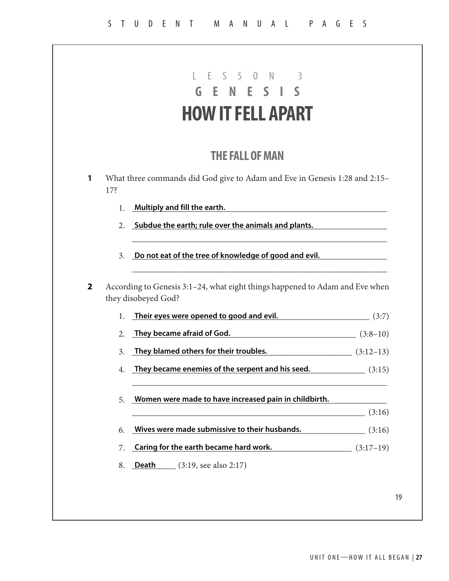|                | <b>HOW IT FELL APART</b>                                                                                 |        |
|----------------|----------------------------------------------------------------------------------------------------------|--------|
|                |                                                                                                          |        |
|                | <b>THE FALL OF MAN</b>                                                                                   |        |
| 17?            | What three commands did God give to Adam and Eve in Genesis 1:28 and 2:15-                               |        |
| 1.             | Multiply and fill the earth.                                                                             |        |
| 2.             | Subdue the earth; rule over the animals and plants.                                                      |        |
|                |                                                                                                          |        |
| 3 <sub>1</sub> | Do not eat of the tree of knowledge of good and evil.                                                    |        |
|                | According to Genesis 3:1-24, what eight things happened to Adam and Eve when<br>they disobeyed God?      |        |
| 1.             | Their eyes were opened to good and evil. (3:7)                                                           |        |
| 2.             | They became afraid of God. $(3.8-10)$                                                                    |        |
| 3.             | They blamed others for their troubles. $(3:12-13)$                                                       |        |
| 4.             | They became enemies of the serpent and his seed. $(3:15)$                                                |        |
| 5.             | Women were made to have increased pain in childbirth.                                                    |        |
|                |                                                                                                          | (3:16) |
| 6.             | Wives were made submissive to their husbands. (3:16)<br>Caring for the earth became hard work. (3:17-19) |        |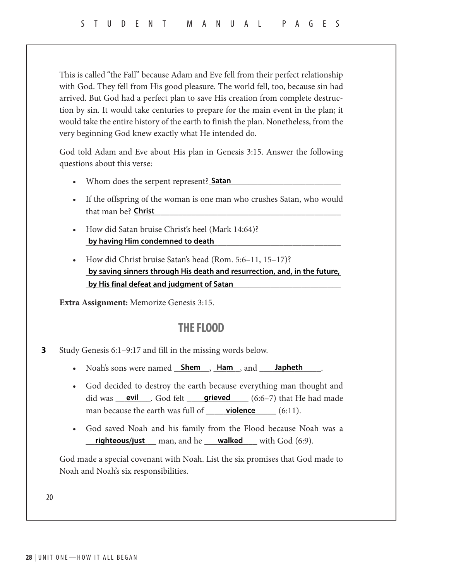This is called "the Fall" because Adam and Eve fell from their perfect relationship with God. They fell from His good pleasure. The world fell, too, because sin had arrived. But God had a perfect plan to save His creation from complete destruction by sin. It would take centuries to prepare for the main event in the plan; it would take the entire history of the earth to finish the plan. Nonetheless, from the very beginning God knew exactly what He intended do.

God told Adam and Eve about His plan in Genesis 3:15. Answer the following questions about this verse:

- Whom does the serpent represent? **Satan**
- If the offspring of the woman is one man who crushes Satan, who would that man be? \_\_\_\_\_\_\_\_\_\_\_\_\_\_\_\_\_\_\_\_\_\_\_\_\_\_\_\_\_\_\_\_\_\_\_\_\_\_\_\_\_\_\_\_\_\_\_ **Christ**
- How did Satan bruise Christ's heel (Mark 14:64)? \_\_\_\_\_\_\_\_\_\_\_\_\_\_\_\_\_\_\_\_\_\_\_\_\_\_\_\_\_\_\_\_\_\_\_\_\_\_\_\_\_\_\_\_\_\_\_\_\_\_\_\_\_\_\_\_\_\_ **by having Him condemned to death**
- How did Christ bruise Satan's head (Rom. 5:6–11, 15–17)? by saving sinners through His death and resurrection, and, in the future, \_\_\_\_\_\_\_\_\_\_\_\_\_\_\_\_\_\_\_\_\_\_\_\_\_\_\_\_\_\_\_\_\_\_\_\_\_\_\_\_\_\_\_\_\_\_\_\_\_\_\_\_\_\_\_\_\_\_ **by His final defeat and judgment of Satan**

**Extra Assignment:** Memorize Genesis 3:15.

### **THE FLOOD**

- Study Genesis 6:1–9:17 and fill in the missing words below. **3**
	- Noah's sons were named **Shem , Ham , and Japheth ...**
	- God decided to destroy the earth because everything man thought and did was <u>evil</u> . God felt <u>grieved</u> (6:6–7) that He had made man because the earth was full of \_\_\_\_\_\_\_\_\_\_\_\_\_\_\_\_ (6:11). **violence** (6:11).
	- God saved Noah and his family from the Flood because Noah was a **righteous/just** man, and he **walked** with God (6:9).

God made a special covenant with Noah. List the six promises that God made to Noah and Noah's six responsibilities.

20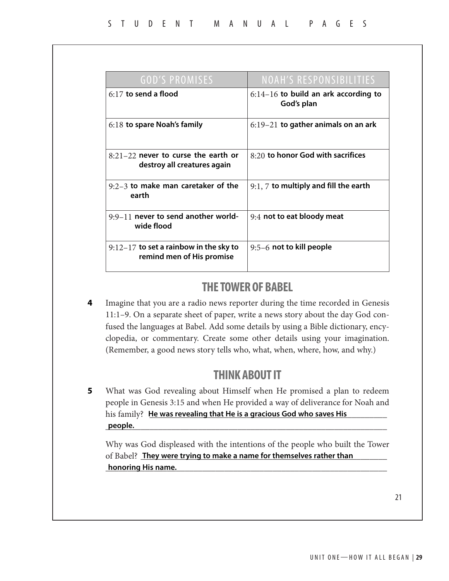| <b>GOD'S PROMISES</b>                                                 | <b>NOAH'S RESPONSIBILITIES</b>                       |
|-----------------------------------------------------------------------|------------------------------------------------------|
| $6:17$ to send a flood                                                | $6:14-16$ to build an ark according to<br>God's plan |
| $6:18$ to spare Noah's family                                         | $6:19-21$ to gather animals on an ark                |
| $8:21-22$ never to curse the earth or<br>destroy all creatures again  | $8:20$ to honor God with sacrifices                  |
| $9:2-3$ to make man caretaker of the<br>earth                         | $9:1, 7$ to multiply and fill the earth              |
| $9:9-11$ never to send another world-<br>wide flood                   | 9:4 not to eat bloody meat                           |
| $9:12-17$ to set a rainbow in the sky to<br>remind men of His promise | 9:5-6 not to kill people                             |

## **THE TOWER OF BABEL**

Imagine that you are a radio news reporter during the time recorded in Genesis 11:1–9. On a separate sheet of paper, write a news story about the day God confused the languages at Babel. Add some details by using a Bible dictionary, encyclopedia, or commentary. Create some other details using your imagination. (Remember, a good news story tells who, what, when, where, how, and why.) **4**

## **THINK ABOUT IT**

What was God revealing about Himself when He promised a plan to redeem people in Genesis 3:15 and when He provided a way of deliverance for Noah and his family? Land was revealing that He is a gracious God who saves His **hold was a struck to the same of the s** \_\_\_\_\_\_\_\_\_\_\_\_\_\_\_\_\_\_\_\_\_\_\_\_\_\_\_\_\_\_\_\_\_\_\_\_\_\_\_\_\_\_\_\_\_\_\_\_\_\_\_\_\_\_\_\_\_\_\_\_\_\_\_\_ **5 people.**

Why was God displeased with the intentions of the people who built the Tower of Babel? They were trying to make a name for themselves rather than \_\_\_\_\_\_\_\_\_\_\_\_\_\_\_\_\_\_\_\_\_\_\_\_\_\_\_\_\_\_\_\_\_\_\_\_\_\_\_\_\_\_\_\_\_\_\_\_\_\_\_\_\_\_\_\_\_\_\_\_\_\_\_\_ **honoring His name.**

21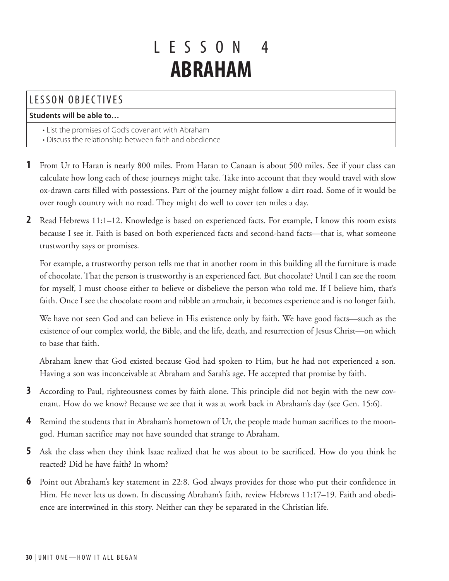## L ESSON 4 **ABRAHAM**

## LESSON OBJECTIVES

#### **Students will be able to…**

- List the promises of God's covenant with Abraham
- Discuss the relationship between faith and obedience
- **1** From Ur to Haran is nearly 800 miles. From Haran to Canaan is about 500 miles. See if your class can calculate how long each of these journeys might take. Take into account that they would travel with slow ox-drawn carts filled with possessions. Part of the journey might follow a dirt road. Some of it would be over rough country with no road. They might do well to cover ten miles a day.
- **2** Read Hebrews 11:1–12. Knowledge is based on experienced facts. For example, I know this room exists because I see it. Faith is based on both experienced facts and second-hand facts—that is, what someone trustworthy says or promises.

For example, a trustworthy person tells me that in another room in this building all the furniture is made of chocolate. That the person is trustworthy is an experienced fact. But chocolate? Until I can see the room for myself, I must choose either to believe or disbelieve the person who told me. If I believe him, that's faith. Once I see the chocolate room and nibble an armchair, it becomes experience and is no longer faith.

We have not seen God and can believe in His existence only by faith. We have good facts—such as the existence of our complex world, the Bible, and the life, death, and resurrection of Jesus Christ—on which to base that faith.

Abraham knew that God existed because God had spoken to Him, but he had not experienced a son. Having a son was inconceivable at Abraham and Sarah's age. He accepted that promise by faith.

- **3** According to Paul, righteousness comes by faith alone. This principle did not begin with the new covenant. How do we know? Because we see that it was at work back in Abraham's day (see Gen. 15:6).
- **4** Remind the students that in Abraham's hometown of Ur, the people made human sacrifices to the moongod. Human sacrifice may not have sounded that strange to Abraham.
- **5** Ask the class when they think Isaac realized that he was about to be sacrificed. How do you think he reacted? Did he have faith? In whom?
- **6** Point out Abraham's key statement in 22:8. God always provides for those who put their confidence in Him. He never lets us down. In discussing Abraham's faith, review Hebrews 11:17–19. Faith and obedience are intertwined in this story. Neither can they be separated in the Christian life.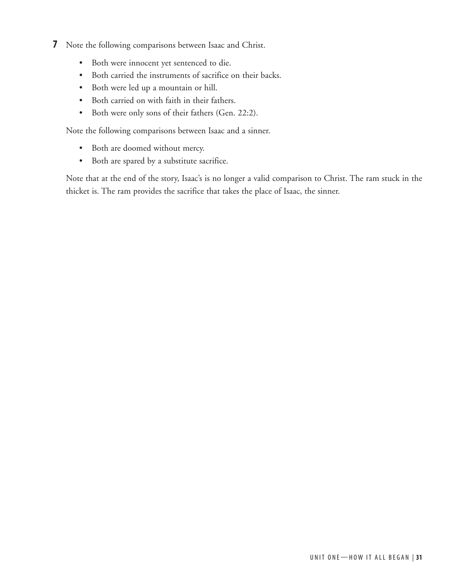- **7** Note the following comparisons between Isaac and Christ.
	- Both were innocent yet sentenced to die.
	- Both carried the instruments of sacrifice on their backs.
	- Both were led up a mountain or hill.
	- Both carried on with faith in their fathers.
	- Both were only sons of their fathers (Gen. 22:2).

Note the following comparisons between Isaac and a sinner.

- Both are doomed without mercy.
- Both are spared by a substitute sacrifice.

Note that at the end of the story, Isaac's is no longer a valid comparison to Christ. The ram stuck in the thicket is. The ram provides the sacrifice that takes the place of Isaac, the sinner.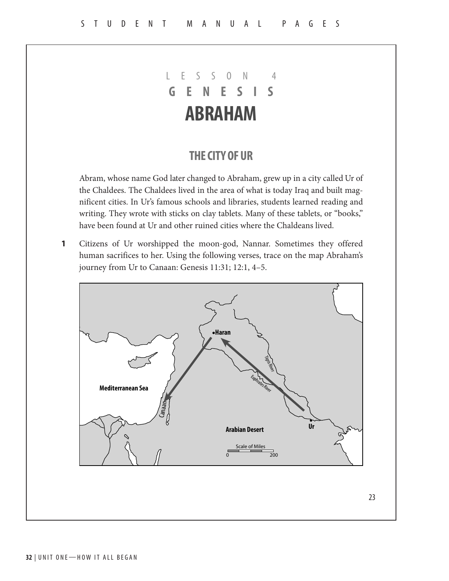## LESSON 4 **GENESIS ABRAHAM**

## **THE CITY OF UR**

Abram, whose name God later changed to Abraham, grew up in a city called Ur of the Chaldees. The Chaldees lived in the area of what is today Iraq and built magnificent cities. In Ur's famous schools and libraries, students learned reading and writing. They wrote with sticks on clay tablets. Many of these tablets, or "books," have been found at Ur and other ruined cities where the Chaldeans lived.

Citizens of Ur worshipped the moon-god, Nannar. Sometimes they offered human sacrifices to her. Using the following verses, trace on the map Abraham's journey from Ur to Canaan: Genesis 11:31; 12:1, 4–5. **1**

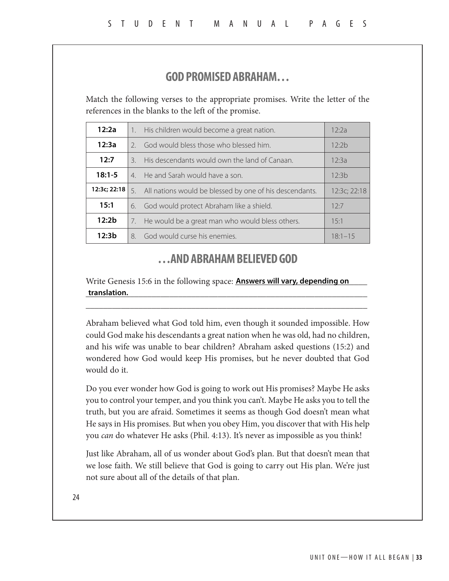## **GOD PROMISED ABRAHAM…**

Match the following verses to the appropriate promises. Write the letter of the references in the blanks to the left of the promise.

| 12:2a                                                  | His children would become a great nation.<br>$\overline{1}$ . |                                                                         | 12:2a |
|--------------------------------------------------------|---------------------------------------------------------------|-------------------------------------------------------------------------|-------|
| 12:3a                                                  | 2 <sub>1</sub>                                                | God would bless those who blessed him.                                  | 12:2h |
| 12:7                                                   | $\mathcal{B}_{\mathcal{A}}$                                   | His descendants would own the land of Canaan.<br>12:3a                  |       |
| $18:1 - 5$                                             | 4 <sup>1</sup>                                                | He and Sarah would have a son.<br>12.3h                                 |       |
| 12:3c; 22:18                                           | 5.                                                            | All nations would be blessed by one of his descendants.<br>12:3c; 22:18 |       |
| 15:1                                                   | God would protect Abraham like a shield.<br>б.                |                                                                         | 12.7  |
| 12:2 <sub>b</sub>                                      | He would be a great man who would bless others.<br>15:1<br>7. |                                                                         |       |
| 12:3 <sub>b</sub><br>God would curse his enemies.<br>8 |                                                               | $18:1 - 15$                                                             |       |

### **…AND ABRAHAM BELIEVED GOD**

Write Genesis 15:6 in the following space: **Answers will vary, depending on** \_\_\_\_\_\_\_\_\_\_\_\_\_\_\_\_\_\_\_\_\_\_\_\_\_\_\_\_\_\_\_\_\_\_\_\_\_\_\_\_\_\_\_\_\_\_\_\_\_\_\_\_\_\_\_\_\_\_\_\_\_\_\_\_ **translation.**

\_\_\_\_\_\_\_\_\_\_\_\_\_\_\_\_\_\_\_\_\_\_\_\_\_\_\_\_\_\_\_\_\_\_\_\_\_\_\_\_\_\_\_\_\_\_\_\_\_\_\_\_\_\_\_\_\_\_\_\_\_\_\_\_

Abraham believed what God told him, even though it sounded impossible. How could God make his descendants a great nation when he was old, had no children, and his wife was unable to bear children? Abraham asked questions (15:2) and wondered how God would keep His promises, but he never doubted that God would do it.

Do you ever wonder how God is going to work out His promises? Maybe He asks you to control your temper, and you think you can't. Maybe He asks you to tell the truth, but you are afraid. Sometimes it seems as though God doesn't mean what He says in His promises. But when you obey Him, you discover that with His help you *can* do whatever He asks (Phil. 4:13). It's never as impossible as you think!

Just like Abraham, all of us wonder about God's plan. But that doesn't mean that we lose faith. We still believe that God is going to carry out His plan. We're just not sure about all of the details of that plan.

24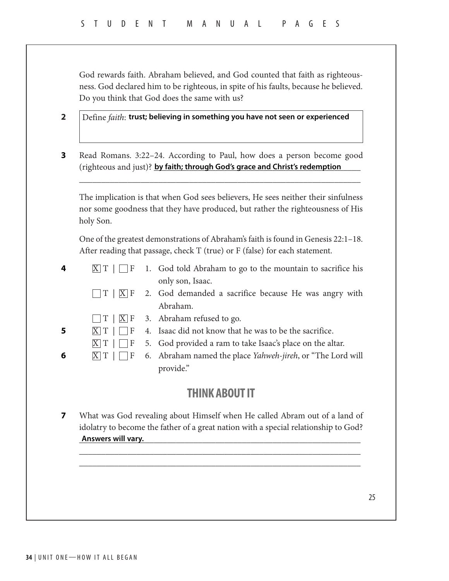God rewards faith. Abraham believed, and God counted that faith as righteousness. God declared him to be righteous, in spite of his faults, because he believed. Do you think that God does the same with us?

Define *faith*: **2 trust; believing in something you have not seen or experienced**

Read Romans. 3:22–24. According to Paul, how does a person become good (righteous and just)? **by faith; through God's grace and Christ's redemption 3**

The implication is that when God sees believers, He sees neither their sinfulness nor some goodness that they have produced, but rather the righteousness of His holy Son.

\_\_\_\_\_\_\_\_\_\_\_\_\_\_\_\_\_\_\_\_\_\_\_\_\_\_\_\_\_\_\_\_\_\_\_\_\_\_\_\_\_\_\_\_\_\_\_\_\_\_\_\_\_\_\_\_\_\_\_\_\_\_\_\_

One of the greatest demonstrations of Abraham's faith is found in Genesis 22:1–18. After reading that passage, check T (true) or F (false) for each statement.

| 4  |                    | $X[T] \cup F$ 1. God told Abraham to go to the mountain to sacrifice his |
|----|--------------------|--------------------------------------------------------------------------|
|    |                    | only son, Isaac.                                                         |
|    |                    |                                                                          |
|    |                    | Abraham.                                                                 |
|    |                    | $\Box$ T   $\Box$ F 3. Abraham refused to go.                            |
| -5 | $X$ $T$ $\Box$ $F$ | 4. Isaac did not know that he was to be the sacrifice.                   |
|    | $X$ $T$ $\Box$ $F$ | 5. God provided a ram to take Isaac's place on the altar.                |
| 6  | $X T  \Box F$      | 6. Abraham named the place Yahweh-jireh, or "The Lord will               |
|    |                    | provide."                                                                |
|    |                    |                                                                          |

## **THINK ABOUT IT**

What was God revealing about Himself when He called Abram out of a land of idolatry to become the father of a great nation with a special relationship to God? \_\_\_\_\_\_\_\_\_\_\_\_\_\_\_\_\_\_\_\_\_\_\_\_\_\_\_\_\_\_\_\_\_\_\_\_\_\_\_\_\_\_\_\_\_\_\_\_\_\_\_\_\_\_\_\_\_\_\_\_\_\_\_\_ **Answers will vary.7**

\_\_\_\_\_\_\_\_\_\_\_\_\_\_\_\_\_\_\_\_\_\_\_\_\_\_\_\_\_\_\_\_\_\_\_\_\_\_\_\_\_\_\_\_\_\_\_\_\_\_\_\_\_\_\_\_\_\_\_\_\_\_\_\_ \_\_\_\_\_\_\_\_\_\_\_\_\_\_\_\_\_\_\_\_\_\_\_\_\_\_\_\_\_\_\_\_\_\_\_\_\_\_\_\_\_\_\_\_\_\_\_\_\_\_\_\_\_\_\_\_\_\_\_\_\_\_\_\_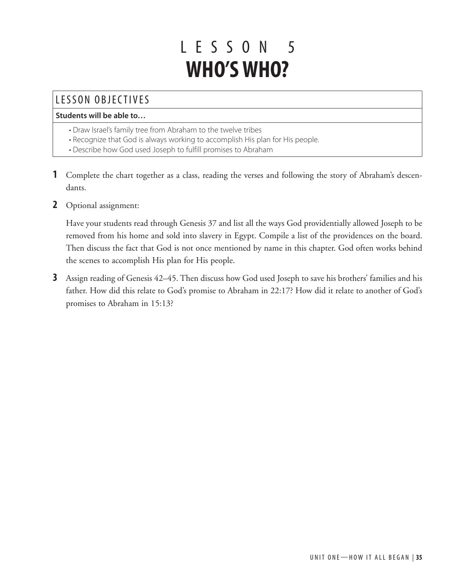# L ESSON 5 **WHO'S WHO?**

## LESSON OBJECTIVES

#### **Students will be able to…**

- Draw Israel's family tree from Abraham to the twelve tribes
- Recognize that God is always working to accomplish His plan for His people.
- Describe how God used Joseph to fulfill promises to Abraham
- **1** Complete the chart together as a class, reading the verses and following the story of Abraham's descendants.
- **2** Optional assignment:

Have your students read through Genesis 37 and list all the ways God providentially allowed Joseph to be removed from his home and sold into slavery in Egypt. Compile a list of the providences on the board. Then discuss the fact that God is not once mentioned by name in this chapter. God often works behind the scenes to accomplish His plan for His people.

**3** Assign reading of Genesis 42–45. Then discuss how God used Joseph to save his brothers' families and his father. How did this relate to God's promise to Abraham in 22:17? How did it relate to another of God's promises to Abraham in 15:13?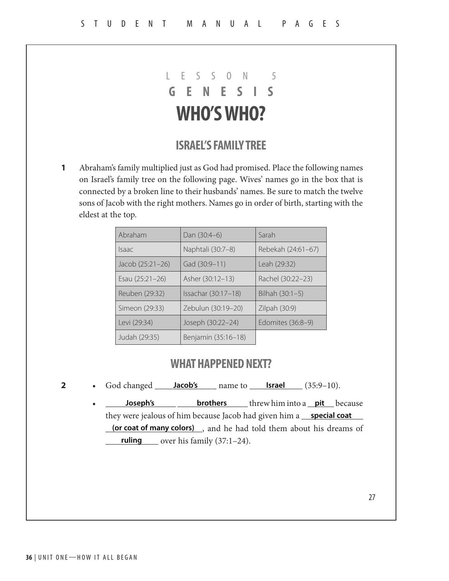## LESSON 5 **GENESIS WHO'S WHO?**

### **ISRAEL'S FAMILY TREE**

Abraham's family multiplied just as God had promised. Place the following names on Israel's family tree on the following page. Wives' names go in the box that is connected by a broken line to their husbands' names. Be sure to match the twelve sons of Jacob with the right mothers. Names go in order of birth, starting with the eldest at the top. **1**

| Abraham          | Dan (30:4-6)        | Sarah              |
|------------------|---------------------|--------------------|
| Isaac            | Naphtali (30:7-8)   | Rebekah (24:61-67) |
| Jacob (25:21–26) | Gad (30:9-11)       | Leah (29:32)       |
| Esau (25:21-26)  | Asher (30:12-13)    | Rachel (30:22-23)  |
| Reuben (29:32)   | Issachar (30:17-18) | Bilhah $(30:1-5)$  |
| Simeon (29:33)   | Zebulun (30:19–20)  | Zilpah (30:9)      |
| Levi (29:34)     | Joseph (30:22-24)   | Edomites (36:8–9)  |
| Judah (29:35)    | Benjamin (35:16-18) |                    |

#### **WHAT HAPPENED NEXT?**

- **2** God changed **Jacob's Israel Israel** (35:9–10).
	- **10seph's brothers** threw him into a <u>pit</u> because they were jealous of him because Jacob had given him a <u>special coat</u> **(or coat of many colors)**, and he had told them about his dreams of \_\_\_\_\_\_\_\_\_\_\_\_ over his family (37:1–24). **ruling**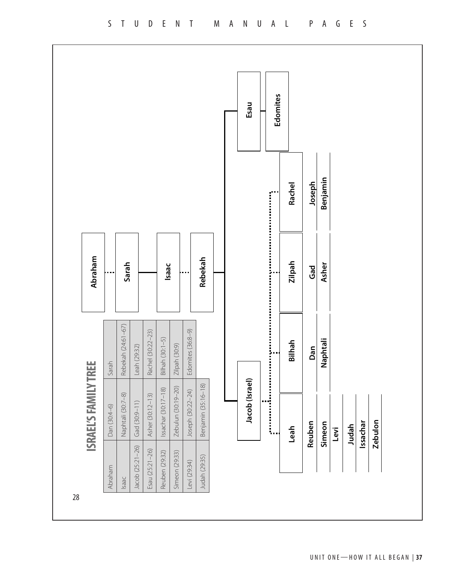

UNIT ONE—HOW IT ALL BEGAN | **37** e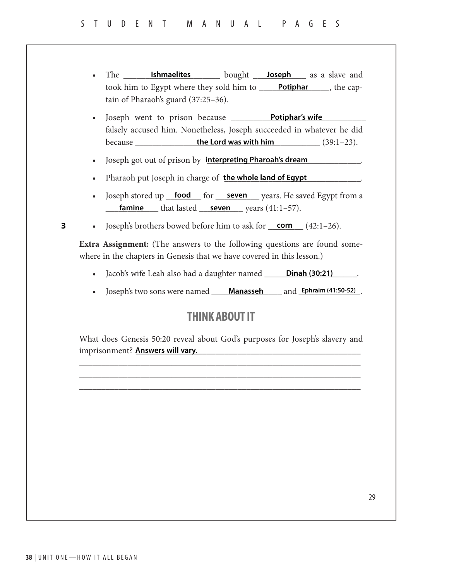- The **Ishmaelites Joseph** as a slave and took him to Egypt where they sold him to **Potiphar**, the captain of Pharaoh's guard (37:25–36).
- Joseph went to prison because \_\_\_\_\_\_\_\_\_\_\_\_\_\_\_\_\_\_\_\_\_\_\_\_\_\_\_\_\_\_ **Potiphar's wife** falsely accused him. Nonetheless, Joseph succeeded in whatever he did because \_\_\_\_\_\_\_\_\_\_\_\_\_\_\_\_\_\_\_\_\_\_\_\_\_\_\_\_\_\_\_\_\_\_\_\_\_\_\_\_\_\_ (39:1–23). **the Lord was with him**
- Joseph got out of prison by **interpreting Pharoah's dream**
- Pharaoh put Joseph in charge of the whole land of Egypt **the mass of the whole land of Egypt**
- Joseph stored up <u>food</u> for <u>seven</u> years. He saved Egypt from a **famine** that lasted **seven** years (41:1–57).
- **3** Joseph's brothers bowed before him to ask for <u>corn</u> (42:1-26).

**Extra Assignment:** (The answers to the following questions are found somewhere in the chapters in Genesis that we have covered in this lesson.)

- Jacob's wife Leah also had a daughter named **Dinah (30:21)** ...
- Joseph's two sons were named **Manasseh** and **Ephraim (41:50-52)**.

## **THINK ABOUT IT**

What does Genesis 50:20 reveal about God's purposes for Joseph's slavery and imprisonment? \_\_\_\_\_\_\_\_\_\_\_\_\_\_\_\_\_\_\_\_\_\_\_\_\_\_\_\_\_\_\_\_\_\_\_\_\_\_\_\_\_\_\_\_\_\_\_\_\_\_\_ **Answers will vary.**

\_\_\_\_\_\_\_\_\_\_\_\_\_\_\_\_\_\_\_\_\_\_\_\_\_\_\_\_\_\_\_\_\_\_\_\_\_\_\_\_\_\_\_\_\_\_\_\_\_\_\_\_\_\_\_\_\_\_\_\_\_\_\_\_ \_\_\_\_\_\_\_\_\_\_\_\_\_\_\_\_\_\_\_\_\_\_\_\_\_\_\_\_\_\_\_\_\_\_\_\_\_\_\_\_\_\_\_\_\_\_\_\_\_\_\_\_\_\_\_\_\_\_\_\_\_\_\_\_ \_\_\_\_\_\_\_\_\_\_\_\_\_\_\_\_\_\_\_\_\_\_\_\_\_\_\_\_\_\_\_\_\_\_\_\_\_\_\_\_\_\_\_\_\_\_\_\_\_\_\_\_\_\_\_\_\_\_\_\_\_\_\_\_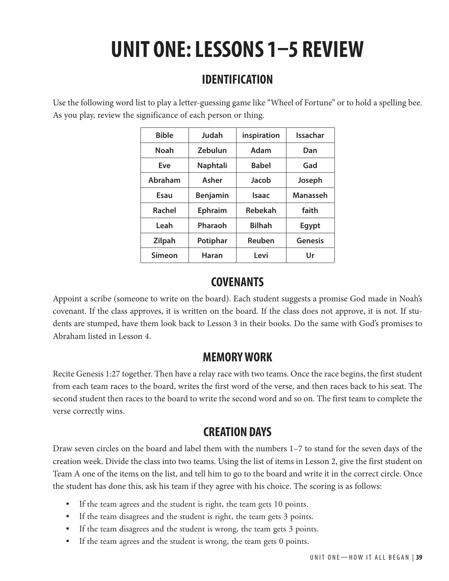# **UNIT ONE: LESSONS 1–5 REVIEW**

## **IDENTIFICATION**

Use the following word list to play a letter-guessing game like "Wheel of Fortune" or to hold a spelling bee. As you play, review the significance of each person or thing.

| <b>Bible</b>  | Judah           | inspiration    | Issachar        |
|---------------|-----------------|----------------|-----------------|
| Noah          | Zebulun         | Adam           | Dan             |
| Eve           | Naphtali        | <b>Babel</b>   | Gad             |
| Abraham       | Asher           | Jacob          | Joseph          |
| Esau          | <b>Benjamin</b> | Isaac          | <b>Manasseh</b> |
| <b>Rachel</b> | <b>Ephraim</b>  | <b>Rebekah</b> | faith           |
| Leah          | Pharaoh         | <b>Bilhah</b>  | Egypt           |
| Zilpah        | Potiphar        | Reuben         | <b>Genesis</b>  |
| Simeon        | Haran           | Levi           | Ur              |

## **COVENANTS**

Appoint a scribe (someone to write on the board). Each student suggests a promise God made in Noah's covenant. If the class approves, it is written on the board. If the class does not approve, it is not. If students are stumped, have them look back to Lesson 3 in their books. Do the same with God's promises to Abraham listed in Lesson 4.

## **MEMORY WORK**

Recite Genesis 1:27 together. Then have a relay race with two teams. Once the race begins, the first student from each team races to the board, writes the first word of the verse, and then races back to his seat. The second student then races to the board to write the second word and so on. The first team to complete the verse correctly wins.

## **CREATION DAYS**

Draw seven circles on the board and label them with the numbers 1–7 to stand for the seven days of the creation week. Divide the class into two teams. Using the list of items in Lesson 2, give the first student on Team A one of the items on the list, and tell him to go to the board and write it in the correct circle. Once the student has done this, ask his team if they agree with his choice. The scoring is as follows:

- If the team agrees and the student is right, the team gets 10 points.
- If the team disagrees and the student is right, the team gets 3 points.
- If the team disagrees and the student is wrong, the team gets 3 points.
- If the team agrees and the student is wrong, the team gets 0 points.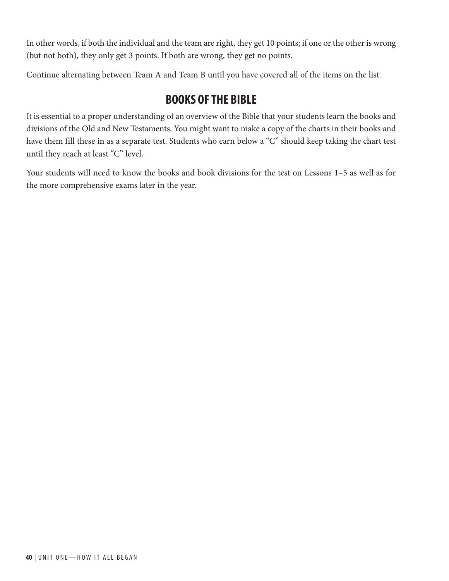In other words, if both the individual and the team are right, they get 10 points; if one or the other is wrong (but not both), they only get 3 points. If both are wrong, they get no points.

Continue alternating between Team A and Team B until you have covered all of the items on the list.

## **BOOKS OF THE BIBLE**

It is essential to a proper understanding of an overview of the Bible that your students learn the books and divisions of the Old and New Testaments. You might want to make a copy of the charts in their books and have them fill these in as a separate test. Students who earn below a "C" should keep taking the chart test until they reach at least "C" level.

Your students will need to know the books and book divisions for the test on Lessons 1–5 as well as for the more comprehensive exams later in the year.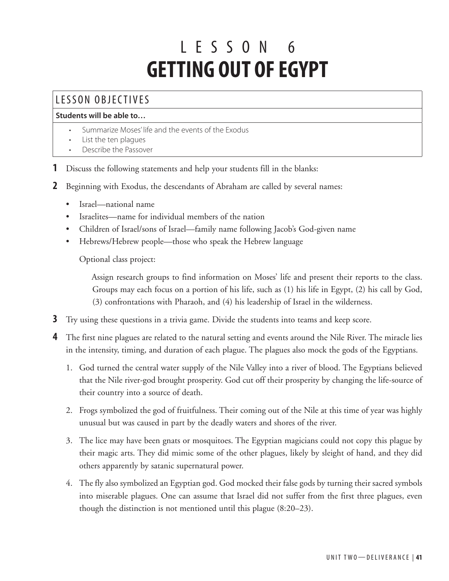# L ESSON 6 **GETTING OUT OF EGYPT**

## LESSON OBJECTIVES

#### **Students will be able to…**

- Summarize Moses' life and the events of the Exodus
- List the ten plagues
- Describe the Passover
- **1** Discuss the following statements and help your students fill in the blanks:
- **2** Beginning with Exodus, the descendants of Abraham are called by several names:
	- Israel—national name
	- Israelites—name for individual members of the nation
	- Children of Israel/sons of Israel—family name following Jacob's God-given name
	- Hebrews/Hebrew people—those who speak the Hebrew language

Optional class project:

Assign research groups to find information on Moses' life and present their reports to the class. Groups may each focus on a portion of his life, such as (1) his life in Egypt, (2) his call by God, (3) confrontations with Pharaoh, and (4) his leadership of Israel in the wilderness.

- **3** Try using these questions in a trivia game. Divide the students into teams and keep score.
- **4** The first nine plagues are related to the natural setting and events around the Nile River. The miracle lies in the intensity, timing, and duration of each plague. The plagues also mock the gods of the Egyptians.
	- 1. God turned the central water supply of the Nile Valley into a river of blood. The Egyptians believed that the Nile river-god brought prosperity. God cut off their prosperity by changing the life-source of their country into a source of death.
	- 2. Frogs symbolized the god of fruitfulness. Their coming out of the Nile at this time of year was highly unusual but was caused in part by the deadly waters and shores of the river.
	- 3. The lice may have been gnats or mosquitoes. The Egyptian magicians could not copy this plague by their magic arts. They did mimic some of the other plagues, likely by sleight of hand, and they did others apparently by satanic supernatural power.
	- 4. The fly also symbolized an Egyptian god. God mocked their false gods by turning their sacred symbols into miserable plagues. One can assume that Israel did not suffer from the first three plagues, even though the distinction is not mentioned until this plague (8:20–23).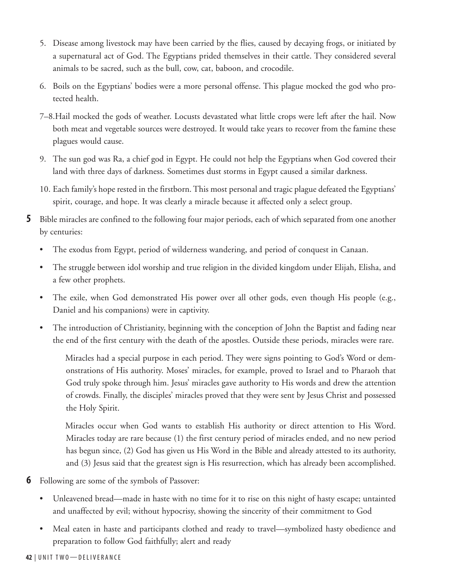- 5. Disease among livestock may have been carried by the flies, caused by decaying frogs, or initiated by a supernatural act of God. The Egyptians prided themselves in their cattle. They considered several animals to be sacred, such as the bull, cow, cat, baboon, and crocodile.
- 6. Boils on the Egyptians' bodies were a more personal offense. This plague mocked the god who protected health.
- 7–8.Hail mocked the gods of weather. Locusts devastated what little crops were left after the hail. Now both meat and vegetable sources were destroyed. It would take years to recover from the famine these plagues would cause.
- 9. The sun god was Ra, a chief god in Egypt. He could not help the Egyptians when God covered their land with three days of darkness. Sometimes dust storms in Egypt caused a similar darkness.
- 10. Each family's hope rested in the firstborn. This most personal and tragic plague defeated the Egyptians' spirit, courage, and hope. It was clearly a miracle because it affected only a select group.
- **5** Bible miracles are confined to the following four major periods, each of which separated from one another by centuries:
	- The exodus from Egypt, period of wilderness wandering, and period of conquest in Canaan.
	- The struggle between idol worship and true religion in the divided kingdom under Elijah, Elisha, and a few other prophets.
	- The exile, when God demonstrated His power over all other gods, even though His people (e.g., Daniel and his companions) were in captivity.
	- The introduction of Christianity, beginning with the conception of John the Baptist and fading near the end of the first century with the death of the apostles. Outside these periods, miracles were rare.

Miracles had a special purpose in each period. They were signs pointing to God's Word or demonstrations of His authority. Moses' miracles, for example, proved to Israel and to Pharaoh that God truly spoke through him. Jesus' miracles gave authority to His words and drew the attention of crowds. Finally, the disciples' miracles proved that they were sent by Jesus Christ and possessed the Holy Spirit.

Miracles occur when God wants to establish His authority or direct attention to His Word. Miracles today are rare because (1) the first century period of miracles ended, and no new period has begun since, (2) God has given us His Word in the Bible and already attested to its authority, and (3) Jesus said that the greatest sign is His resurrection, which has already been accomplished.

- **6** Following are some of the symbols of Passover:
	- Unleavened bread—made in haste with no time for it to rise on this night of hasty escape; untainted and unaffected by evil; without hypocrisy, showing the sincerity of their commitment to God
	- Meal eaten in haste and participants clothed and ready to travel—symbolized hasty obedience and preparation to follow God faithfully; alert and ready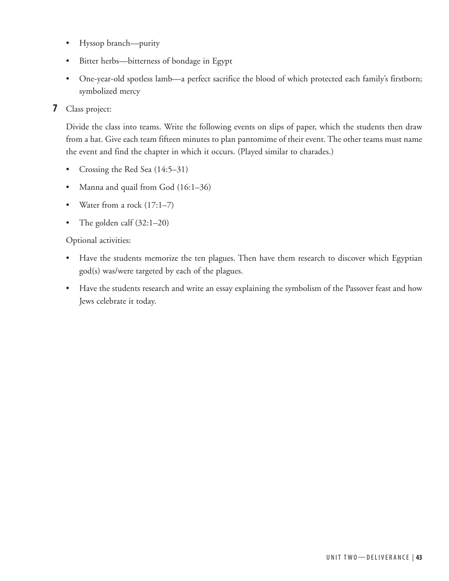- Hyssop branch—purity
- Bitter herbs—bitterness of bondage in Egypt
- One-year-old spotless lamb—a perfect sacrifice the blood of which protected each family's firstborn; symbolized mercy
- **7** Class project:

Divide the class into teams. Write the following events on slips of paper, which the students then draw from a hat. Give each team fifteen minutes to plan pantomime of their event. The other teams must name the event and find the chapter in which it occurs. (Played similar to charades.)

- Crossing the Red Sea (14:5–31)
- Manna and quail from God (16:1–36)
- Water from a rock (17:1–7)
- The golden calf (32:1-20)

#### Optional activities:

- Have the students memorize the ten plagues. Then have them research to discover which Egyptian god(s) was/were targeted by each of the plagues.
- Have the students research and write an essay explaining the symbolism of the Passover feast and how Jews celebrate it today.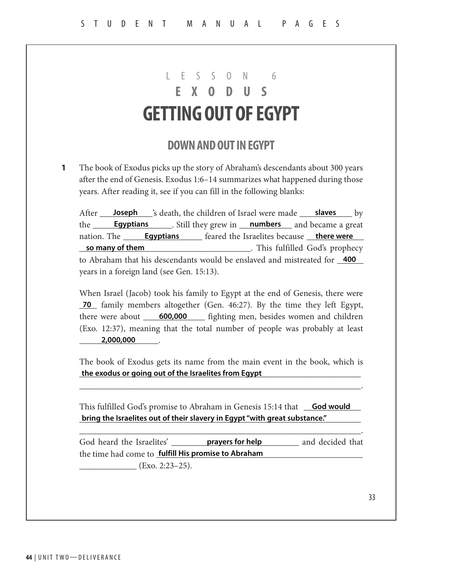## $S \cap N$  6 **EXODUS GETTING OUT OF EGYPT**

## **DOWN AND OUT IN EGYPT**

The book of Exodus picks up the story of Abraham's descendants about 300 years after the end of Genesis. Exodus 1:6–14 summarizes what happened during those years. After reading it, see if you can fill in the following blanks: **1**

After <u>Soseph Saleath, the children of Israel were made Salaves Sales by</u> the **Egyptians Egyptians** Estill they grew in **numbers** and became a great nation. The \_\_\_\_\_\_\_\_\_\_\_\_\_\_\_\_\_\_ feared the Israelites because \_\_\_\_\_\_\_\_\_\_\_\_\_ **Egyptians there were** \_\_\_\_\_\_\_\_\_\_\_\_\_\_\_\_\_\_\_\_\_\_\_\_\_\_\_\_\_\_\_\_\_\_\_\_\_\_\_. This fulfilled God's prophecy to Abraham that his descendants would be enslaved and mistreated for **400** years in a foreign land (see Gen. 15:13). **so many of them**

When Israel (Jacob) took his family to Egypt at the end of Genesis, there were **70** family members altogether (Gen. 46:27). By the time they left Egypt, there were about \_\_\_\_\_<sup>600,000</sup> fighting men, besides women and children (Exo. 12:37), meaning that the total number of people was probably at least \_\_\_\_\_\_\_\_\_\_\_\_\_\_\_\_\_\_. **2,000,000**

The book of Exodus gets its name from the main event in the book, which is \_\_\_\_\_\_\_\_\_\_\_\_\_\_\_\_\_\_\_\_\_\_\_\_\_\_\_\_\_\_\_\_\_\_\_\_\_\_\_\_\_\_\_\_\_\_\_\_\_\_\_\_\_\_\_\_\_\_\_\_\_\_\_\_ **the exodus or going out of the Israelites from Egypt**

\_\_\_\_\_\_\_\_\_\_\_\_\_\_\_\_\_\_\_\_\_\_\_\_\_\_\_\_\_\_\_\_\_\_\_\_\_\_\_\_\_\_\_\_\_\_\_\_\_\_\_\_\_\_\_\_\_\_\_\_\_\_\_\_.

This fulfilled God's promise to Abraham in Genesis 15:14 that **God would** \_\_\_\_\_\_\_\_\_\_\_\_\_\_\_\_\_\_\_\_\_\_\_\_\_\_\_\_\_\_\_\_\_\_\_\_\_\_\_\_\_\_\_\_\_\_\_\_\_\_\_\_\_\_\_\_\_\_\_\_\_\_\_\_ **bring the Israelites out of their slavery in Egypt "with great substance."**

God heard the Israelites' **prayers for help** and decided that the time had come to **\_fulfill His promise to Abraham** \_\_\_\_\_\_\_\_\_\_\_\_\_\_\_\_\_\_\_\_\_\_\_\_\_\_\_ **prayers for help**

\_\_\_\_\_\_\_\_\_\_\_\_\_\_\_\_\_\_\_\_\_\_\_\_\_\_\_\_\_\_\_\_\_\_\_\_\_\_\_\_\_\_\_\_\_\_\_\_\_\_\_\_\_\_\_\_\_\_\_\_\_\_\_\_.

 $(Exo. 2:23-25).$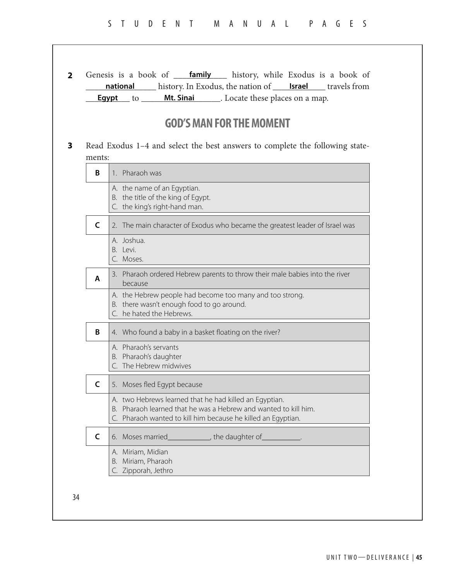|              | <b>Egypt</b> to ______ Mt. Sinai _______. Locate these places on a map.                                                         |  |
|--------------|---------------------------------------------------------------------------------------------------------------------------------|--|
|              |                                                                                                                                 |  |
|              | <b>GOD'S MAN FOR THE MOMENT</b>                                                                                                 |  |
|              |                                                                                                                                 |  |
| ments:       | Read Exodus 1-4 and select the best answers to complete the following state-                                                    |  |
| B            | 1. Pharaoh was                                                                                                                  |  |
|              | A. the name of an Egyptian.                                                                                                     |  |
|              | B. the title of the king of Egypt.<br>C. the king's right-hand man.                                                             |  |
|              |                                                                                                                                 |  |
| $\mathsf{C}$ | 2. The main character of Exodus who became the greatest leader of Israel was                                                    |  |
|              | A. Joshua.<br>B. Levi.                                                                                                          |  |
|              | C. Moses.                                                                                                                       |  |
| A            | 3. Pharaoh ordered Hebrew parents to throw their male babies into the river<br>because                                          |  |
|              | A. the Hebrew people had become too many and too strong.                                                                        |  |
|              | B. there wasn't enough food to go around.<br>C. he hated the Hebrews.                                                           |  |
| B            | 4. Who found a baby in a basket floating on the river?                                                                          |  |
|              | A. Pharaoh's servants                                                                                                           |  |
|              | B. Pharaoh's daughter<br>C. The Hebrew midwives                                                                                 |  |
| C            | 5. Moses fled Egypt because                                                                                                     |  |
|              | A. two Hebrews learned that he had killed an Egyptian.                                                                          |  |
|              | B. Pharaoh learned that he was a Hebrew and wanted to kill him.<br>C. Pharaoh wanted to kill him because he killed an Egyptian. |  |
| $\mathsf{C}$ | 6. Moses married_______________, the daughter of____                                                                            |  |
|              | A. Miriam, Midian                                                                                                               |  |
|              | B. Miriam, Pharaoh                                                                                                              |  |

34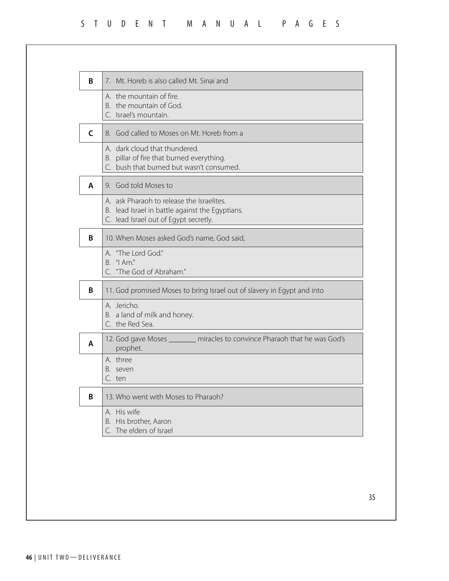### STUDENT MANUAL PAGES

| B | 7. Mt. Horeb is also called Mt. Sinai and                                                                                             |
|---|---------------------------------------------------------------------------------------------------------------------------------------|
|   | A. the mountain of fire.<br>B. the mountain of God.<br>C. Israel's mountain.                                                          |
| C | 8. God called to Moses on Mt. Horeb from a                                                                                            |
|   | A. dark cloud that thundered.<br>B. pillar of fire that burned everything.<br>C. bush that burned but wasn't consumed.                |
| A | 9. God told Moses to                                                                                                                  |
|   | A. ask Pharaoh to release the Israelites.<br>B. lead Israel in battle against the Egyptians.<br>C. lead Israel out of Egypt secretly. |
| B | 10. When Moses asked God's name, God said,                                                                                            |
|   | A. "The Lord God."<br>" $Am$ ."<br>В.<br>C. "The God of Abraham."                                                                     |
| B | 11. God promised Moses to bring Israel out of slavery in Egypt and into                                                               |
|   | A. Jericho.<br>B. a land of milk and honey.<br>C. the Red Sea.                                                                        |
| A | 12. God gave Moses _______ miracles to convince Pharaoh that he was God's<br>prophet.                                                 |
|   | A. three<br>seven<br>C. ten                                                                                                           |
| B | 13. Who went with Moses to Pharaoh?                                                                                                   |
|   | A. His wife<br>His brother, Aaron<br>В.<br>C. The elders of Israel                                                                    |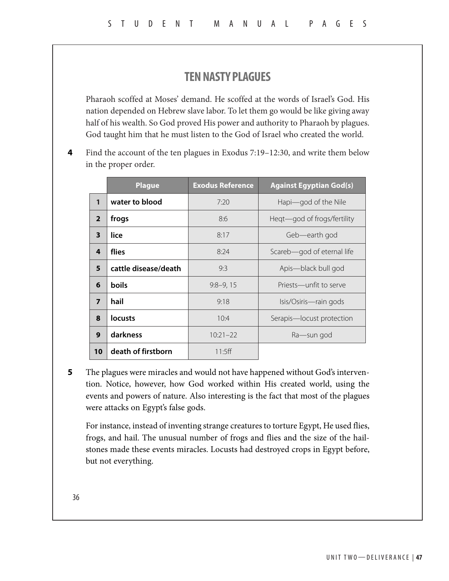## **TEN NASTY PLAGUES**

Pharaoh scoffed at Moses' demand. He scoffed at the words of Israel's God. His nation depended on Hebrew slave labor. To let them go would be like giving away half of his wealth. So God proved His power and authority to Pharaoh by plagues. God taught him that he must listen to the God of Israel who created the world.

Find the account of the ten plagues in Exodus 7:19–12:30, and write them below in the proper order. **4**

|                         | <b>Plague</b>        | <b>Exodus Reference</b> | <b>Against Egyptian God(s)</b> |
|-------------------------|----------------------|-------------------------|--------------------------------|
| $\mathbf{1}$            | water to blood       | 7:20                    | Hapi—god of the Nile           |
| $\overline{2}$          | frogs                | 8:6                     | Heqt-god of frogs/fertility    |
| $\overline{\mathbf{3}}$ | lice                 | 8:17                    | Geb-earth god                  |
| 4                       | flies                | 8:24                    | Scareb-god of eternal life     |
| 5                       | cattle disease/death | 9:3                     | Apis—black bull god            |
| 6                       | boils                | $9:8-9,15$              | Priests—unfit to serve         |
| $\overline{7}$          | hail                 | 9:18                    | Isis/Osiris-rain gods          |
| 8                       | locusts              | 10:4                    | Serapis-locust protection      |
| 9                       | darkness             | $10:21 - 22$            | Ra—sun god                     |
| 10                      | death of firstborn   | 11:5ff                  |                                |

The plagues were miracles and would not have happened without God's intervention. Notice, however, how God worked within His created world, using the events and powers of nature. Also interesting is the fact that most of the plagues were attacks on Egypt's false gods. **5**

For instance, instead of inventing strange creatures to torture Egypt, He used flies, frogs, and hail. The unusual number of frogs and flies and the size of the hailstones made these events miracles. Locusts had destroyed crops in Egypt before, but not everything.

36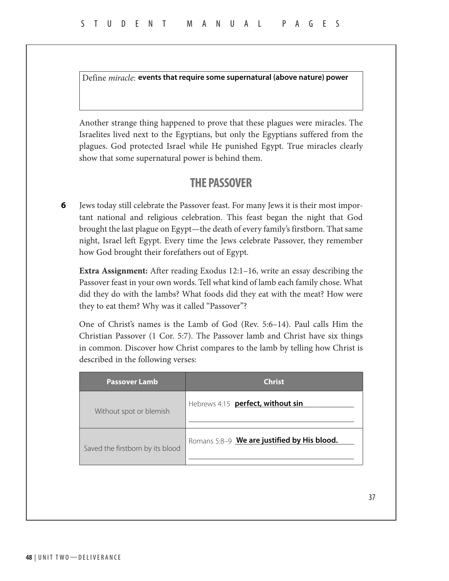Define *miracle*: **events that require some supernatural (above nature) power**

Another strange thing happened to prove that these plagues were miracles. The Israelites lived next to the Egyptians, but only the Egyptians suffered from the plagues. God protected Israel while He punished Egypt. True miracles clearly show that some supernatural power is behind them.

### **THE PASSOVER**

Jews today still celebrate the Passover feast. For many Jews it is their most important national and religious celebration. This feast began the night that God brought the last plague on Egypt—the death of every family's firstborn. That same night, Israel left Egypt. Every time the Jews celebrate Passover, they remember how God brought their forefathers out of Egypt. **6**

**Extra Assignment:** After reading Exodus 12:1–16, write an essay describing the Passover feast in your own words. Tell what kind of lamb each family chose. What did they do with the lambs? What foods did they eat with the meat? How were they to eat them? Why was it called "Passover"?

One of Christ's names is the Lamb of God (Rev. 5:6–14). Paul calls Him the Christian Passover (1 Cor. 5:7). The Passover lamb and Christ have six things in common. Discover how Christ compares to the lamb by telling how Christ is described in the following verses:

| <b>Passover Lamb</b>             | <b>Christ</b>                               |
|----------------------------------|---------------------------------------------|
| Without spot or blemish          | Hebrews 4:15 perfect, without sin           |
| Saved the firstborn by its blood | Romans 5:8-9 We are justified by His blood. |